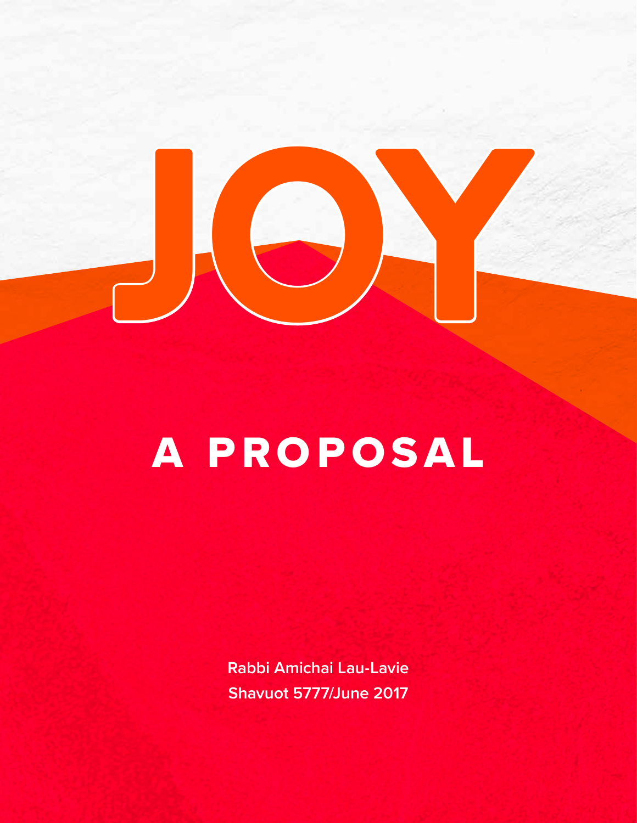

# A PROPOSAL

**Rabbi Amichai Lau-Lavie Shavuot 5777/June 2017**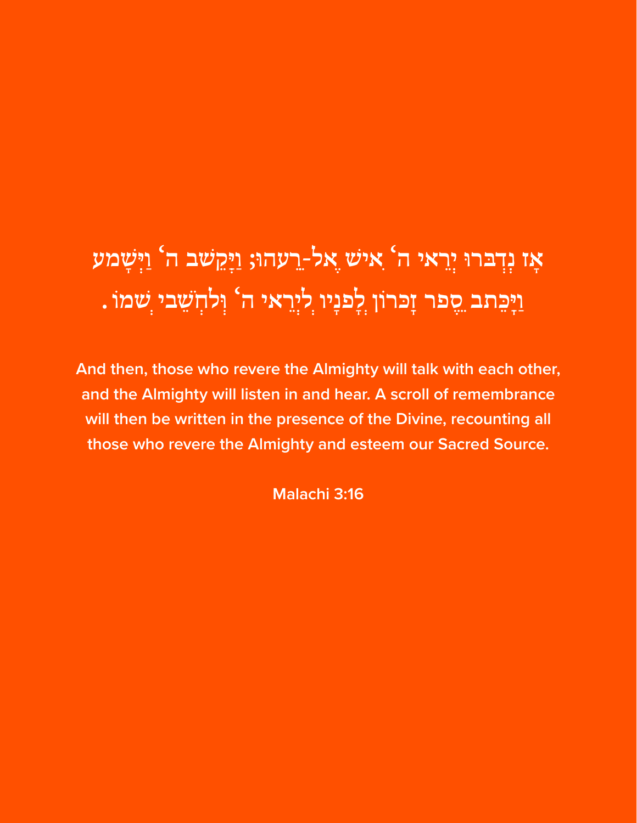## **אָ ז נְִ דְ ּברּו יְִרֵ אי ה' ִאיׁש ֶאלֵ-רֵ עהּו; וַ יְַקֵ ׁשב ה' וַ יְִ שָ מע וַ יִָ כֵ תב ֵסֶ פר זִָּכרֹון ְלָ פנָיו ְליְִרֵ אי ה' וְ לחְ ֹשֵ בי ְׁשמֹו .**

**And then, those who revere the Almighty will talk with each other, and the Almighty will listen in and hear. A scroll of remembrance will then be written in the presence of the Divine, recounting all those who revere the Almighty and esteem our Sacred Source.** 

**Malachi 3:16**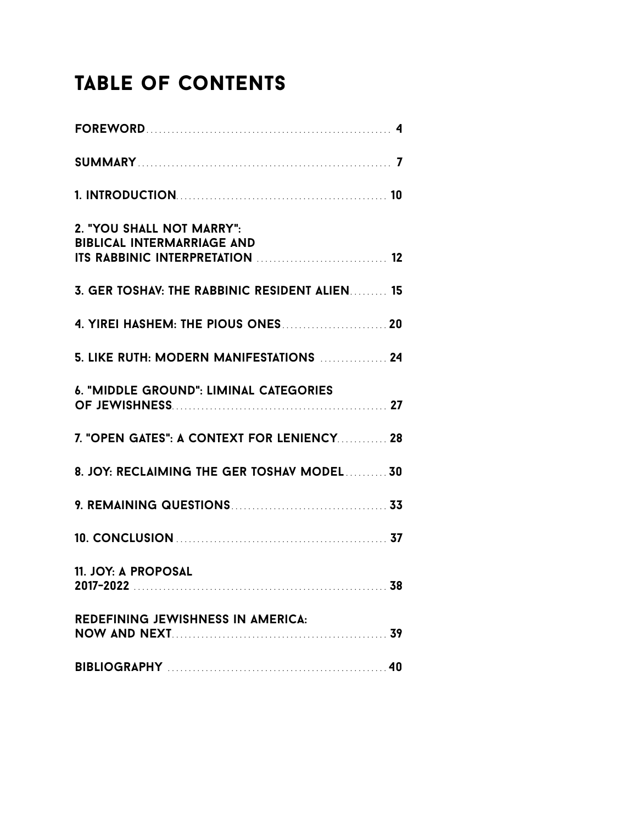### Table of Contents

| 2. "YOU SHALL NOT MARRY":<br><b>BIBLICAL INTERMARRIAGE AND</b> |  |
|----------------------------------------------------------------|--|
| 3. GER TOSHAV: THE RABBINIC RESIDENT ALIEN 15                  |  |
|                                                                |  |
| 5. LIKE RUTH: MODERN MANIFESTATIONS  24                        |  |
| <b>6. "MIDDLE GROUND": LIMINAL CATEGORIES</b>                  |  |
| 7. "OPEN GATES": A CONTEXT FOR LENIENCY 28                     |  |
| 8. JOY: RECLAIMING THE GER TOSHAV MODEL 30                     |  |
|                                                                |  |
|                                                                |  |
| 11. JOY: A PROPOSAL                                            |  |
| REDEFINING JEWISHNESS IN AMERICA:                              |  |
|                                                                |  |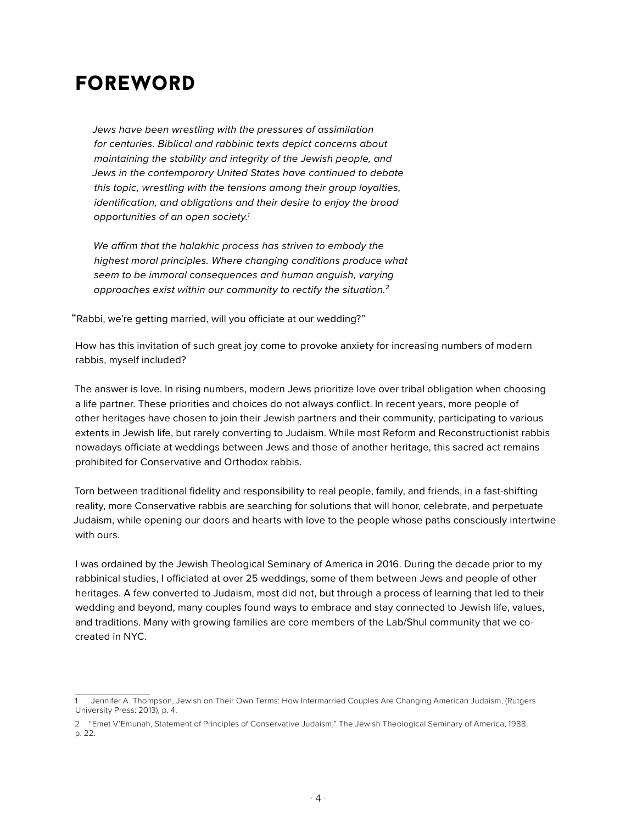### foreword

*Jews have been wrestling with the pressures of assimilation for centuries. Biblical and rabbinic texts depict concerns about maintaining the stability and integrity of the Jewish people, and Jews in the contemporary United States have continued to debate this topic, wrestling with the tensions among their group loyalties, identification, and obligations and their desire to enjoy the broad opportunities of an open society.1*

*We affirm that the halakhic process has striven to embody the highest moral principles. Where changing conditions produce what seem to be immoral consequences and human anguish, varying approaches exist within our community to rectify the situation.2*

"Rabbi, we're getting married, will you officiate at our wedding?"

How has this invitation of such great joy come to provoke anxiety for increasing numbers of modern rabbis, myself included?

The answer is love. In rising numbers, modern Jews prioritize love over tribal obligation when choosing a life partner. These priorities and choices do not always conflict. In recent years, more people of other heritages have chosen to join their Jewish partners and their community, participating to various extents in Jewish life, but rarely converting to Judaism. While most Reform and Reconstructionist rabbis nowadays officiate at weddings between Jews and those of another heritage, this sacred act remains prohibited for Conservative and Orthodox rabbis.

Torn between traditional fidelity and responsibility to real people, family, and friends, in a fast-shifting reality, more Conservative rabbis are searching for solutions that will honor, celebrate, and perpetuate Judaism, while opening our doors and hearts with love to the people whose paths consciously intertwine with ours.

I was ordained by the Jewish Theological Seminary of America in 2016. During the decade prior to my rabbinical studies, I officiated at over 25 weddings, some of them between Jews and people of other heritages. A few converted to Judaism, most did not, but through a process of learning that led to their wedding and beyond, many couples found ways to embrace and stay connected to Jewish life, values, and traditions. Many with growing families are core members of the Lab/Shul community that we cocreated in NYC.

<sup>1</sup> Jennifer A. Thompson, Jewish on Their Own Terms: How Intermarried Couples Are Changing American Judaism, (Rutgers University Press: 2013), p. 4.

<sup>2</sup> "Emet V'Emunah, Statement of Principles of Conservative Judaism," The Jewish Theological Seminary of America, 1988, p. 22.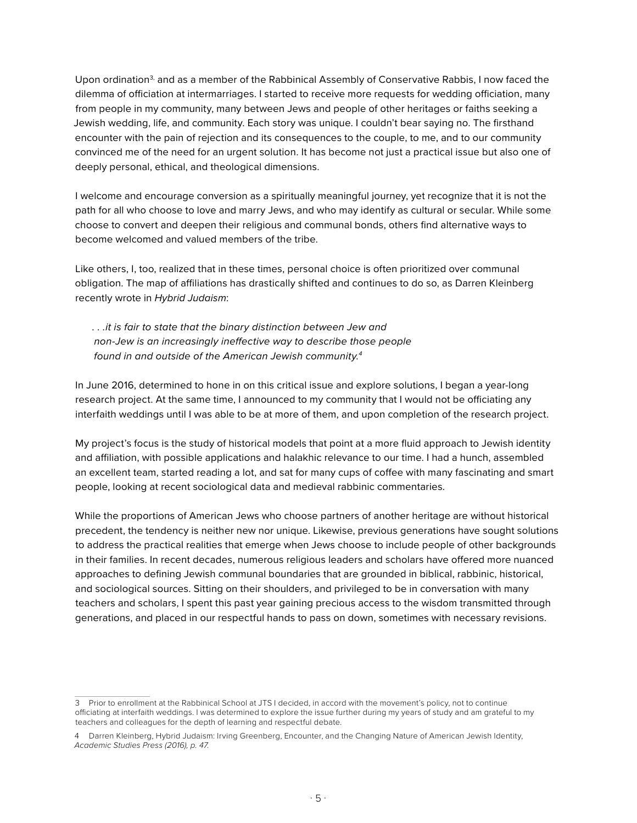Upon ordination<sup>3,</sup> and as a member of the Rabbinical Assembly of Conservative Rabbis, I now faced the dilemma of officiation at intermarriages. I started to receive more requests for wedding officiation, many from people in my community, many between Jews and people of other heritages or faiths seeking a Jewish wedding, life, and community. Each story was unique. I couldn't bear saying no. The firsthand encounter with the pain of rejection and its consequences to the couple, to me, and to our community convinced me of the need for an urgent solution. It has become not just a practical issue but also one of deeply personal, ethical, and theological dimensions.

I welcome and encourage conversion as a spiritually meaningful journey, yet recognize that it is not the path for all who choose to love and marry Jews, and who may identify as cultural or secular. While some choose to convert and deepen their religious and communal bonds, others find alternative ways to become welcomed and valued members of the tribe.

Like others, I, too, realized that in these times, personal choice is often prioritized over communal obligation. The map of affiliations has drastically shifted and continues to do so, as Darren Kleinberg recently wrote in *Hybrid Judaism*:

*. . .it is fair to state that the binary distinction between Jew and non-Jew is an increasingly ineffective way to describe those people found in and outside of the American Jewish community.4* 

In June 2016, determined to hone in on this critical issue and explore solutions, I began a year-long research project. At the same time, I announced to my community that I would not be officiating any interfaith weddings until I was able to be at more of them, and upon completion of the research project.

My project's focus is the study of historical models that point at a more fluid approach to Jewish identity and affiliation, with possible applications and halakhic relevance to our time. I had a hunch, assembled an excellent team, started reading a lot, and sat for many cups of coffee with many fascinating and smart people, looking at recent sociological data and medieval rabbinic commentaries.

While the proportions of American Jews who choose partners of another heritage are without historical precedent, the tendency is neither new nor unique. Likewise, previous generations have sought solutions to address the practical realities that emerge when Jews choose to include people of other backgrounds in their families. In recent decades, numerous religious leaders and scholars have offered more nuanced approaches to defining Jewish communal boundaries that are grounded in biblical, rabbinic, historical, and sociological sources. Sitting on their shoulders, and privileged to be in conversation with many teachers and scholars, I spent this past year gaining precious access to the wisdom transmitted through generations, and placed in our respectful hands to pass on down, sometimes with necessary revisions.

<sup>3</sup> Prior to enrollment at the Rabbinical School at JTS I decided, in accord with the movement's policy, not to continue officiating at interfaith weddings. I was determined to explore the issue further during my years of study and am grateful to my teachers and colleagues for the depth of learning and respectful debate.

<sup>4</sup> Darren Kleinberg, Hybrid Judaism: Irving Greenberg, Encounter, and the Changing Nature of American Jewish Identity, *Academic Studies Press (2016), p. 47.*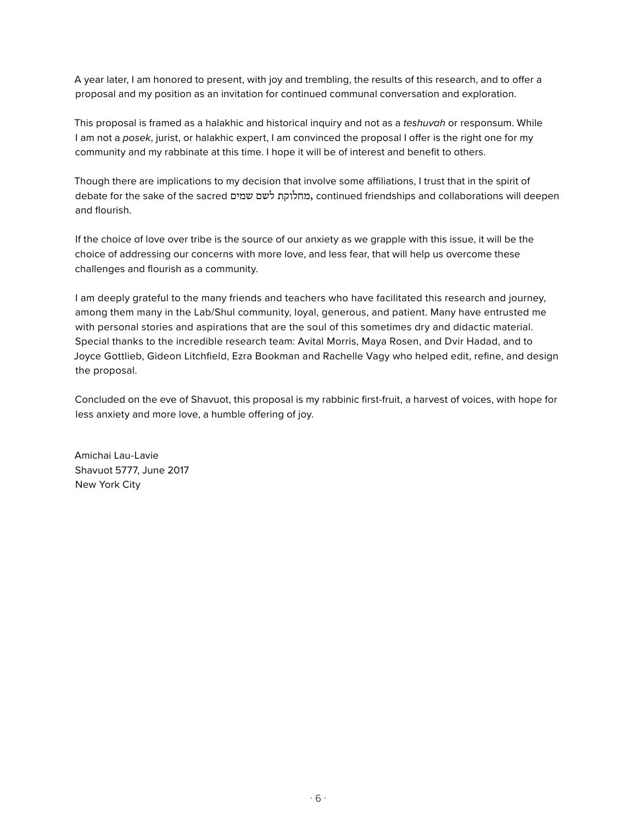A year later, I am honored to present, with joy and trembling, the results of this research, and to offer a proposal and my position as an invitation for continued communal conversation and exploration.

This proposal is framed as a halakhic and historical inquiry and not as a *teshuvah* or responsum. While I am not a *posek*, jurist, or halakhic expert, I am convinced the proposal I offer is the right one for my community and my rabbinate at this time. I hope it will be of interest and benefit to others.

Though there are implications to my decision that involve some affiliations, I trust that in the spirit of debate for the sake of the sacred שמים לשם מחלוקת, continued friendships and collaborations will deepen and flourish.

If the choice of love over tribe is the source of our anxiety as we grapple with this issue, it will be the choice of addressing our concerns with more love, and less fear, that will help us overcome these challenges and flourish as a community.

I am deeply grateful to the many friends and teachers who have facilitated this research and journey, among them many in the Lab/Shul community, loyal, generous, and patient. Many have entrusted me with personal stories and aspirations that are the soul of this sometimes dry and didactic material. Special thanks to the incredible research team: Avital Morris, Maya Rosen, and Dvir Hadad, and to Joyce Gottlieb, Gideon Litchfield, Ezra Bookman and Rachelle Vagy who helped edit, refine, and design the proposal.

Concluded on the eve of Shavuot, this proposal is my rabbinic first-fruit, a harvest of voices, with hope for less anxiety and more love, a humble offering of joy.

Amichai Lau-Lavie Shavuot 5777, June 2017 New York City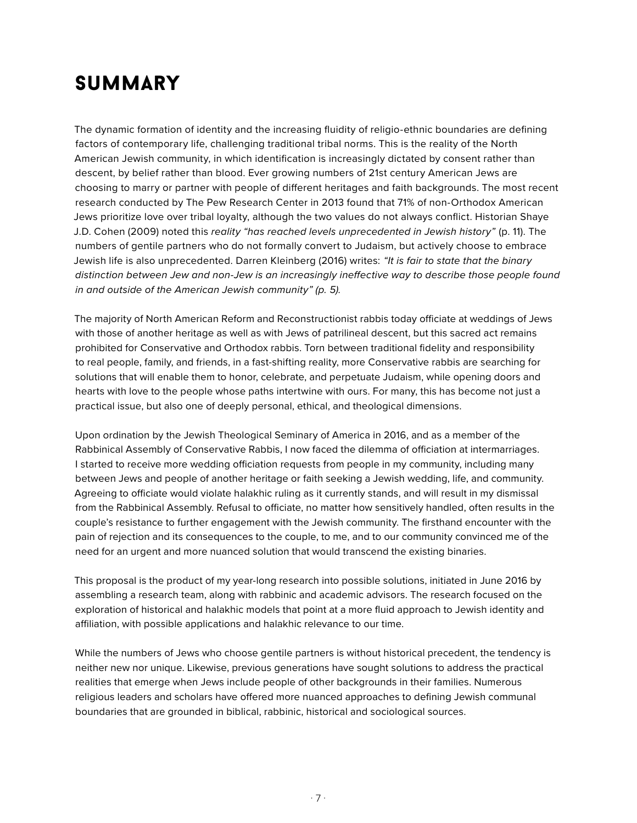### **SUMMARY**

The dynamic formation of identity and the increasing fluidity of religio-ethnic boundaries are defining factors of contemporary life, challenging traditional tribal norms. This is the reality of the North American Jewish community, in which identification is increasingly dictated by consent rather than descent, by belief rather than blood. Ever growing numbers of 21st century American Jews are choosing to marry or partner with people of different heritages and faith backgrounds. The most recent research conducted by The Pew Research Center in 2013 found that 71% of non-Orthodox American Jews prioritize love over tribal loyalty, although the two values do not always conflict. Historian Shaye J.D. Cohen (2009) noted this *reality "has reached levels unprecedented in Jewish history"* (p. 11). The numbers of gentile partners who do not formally convert to Judaism, but actively choose to embrace Jewish life is also unprecedented. Darren Kleinberg (2016) writes: *"It is fair to state that the binary distinction between Jew and non-Jew is an increasingly ineffective way to describe those people found in and outside of the American Jewish community" (p. 5).*

The majority of North American Reform and Reconstructionist rabbis today officiate at weddings of Jews with those of another heritage as well as with Jews of patrilineal descent, but this sacred act remains prohibited for Conservative and Orthodox rabbis. Torn between traditional fidelity and responsibility to real people, family, and friends, in a fast-shifting reality, more Conservative rabbis are searching for solutions that will enable them to honor, celebrate, and perpetuate Judaism, while opening doors and hearts with love to the people whose paths intertwine with ours. For many, this has become not just a practical issue, but also one of deeply personal, ethical, and theological dimensions.

Upon ordination by the Jewish Theological Seminary of America in 2016, and as a member of the Rabbinical Assembly of Conservative Rabbis, I now faced the dilemma of officiation at intermarriages. I started to receive more wedding officiation requests from people in my community, including many between Jews and people of another heritage or faith seeking a Jewish wedding, life, and community. Agreeing to officiate would violate halakhic ruling as it currently stands, and will result in my dismissal from the Rabbinical Assembly. Refusal to officiate, no matter how sensitively handled, often results in the couple's resistance to further engagement with the Jewish community. The firsthand encounter with the pain of rejection and its consequences to the couple, to me, and to our community convinced me of the need for an urgent and more nuanced solution that would transcend the existing binaries.

This proposal is the product of my year-long research into possible solutions, initiated in June 2016 by assembling a research team, along with rabbinic and academic advisors. The research focused on the exploration of historical and halakhic models that point at a more fluid approach to Jewish identity and affiliation, with possible applications and halakhic relevance to our time.

While the numbers of Jews who choose gentile partners is without historical precedent, the tendency is neither new nor unique. Likewise, previous generations have sought solutions to address the practical realities that emerge when Jews include people of other backgrounds in their families. Numerous religious leaders and scholars have offered more nuanced approaches to defining Jewish communal boundaries that are grounded in biblical, rabbinic, historical and sociological sources.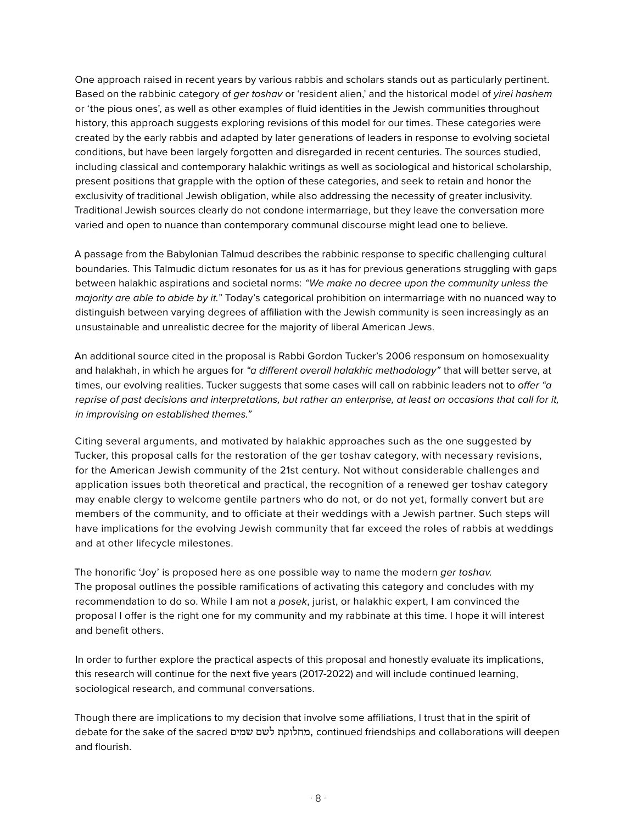One approach raised in recent years by various rabbis and scholars stands out as particularly pertinent. Based on the rabbinic category of *ger toshav* or 'resident alien,' and the historical model of *yirei hashem* or 'the pious ones', as well as other examples of fluid identities in the Jewish communities throughout history, this approach suggests exploring revisions of this model for our times. These categories were created by the early rabbis and adapted by later generations of leaders in response to evolving societal conditions, but have been largely forgotten and disregarded in recent centuries. The sources studied, including classical and contemporary halakhic writings as well as sociological and historical scholarship, present positions that grapple with the option of these categories, and seek to retain and honor the exclusivity of traditional Jewish obligation, while also addressing the necessity of greater inclusivity. Traditional Jewish sources clearly do not condone intermarriage, but they leave the conversation more varied and open to nuance than contemporary communal discourse might lead one to believe.

A passage from the Babylonian Talmud describes the rabbinic response to specific challenging cultural boundaries. This Talmudic dictum resonates for us as it has for previous generations struggling with gaps between halakhic aspirations and societal norms: *"We make no decree upon the community unless the majority are able to abide by it."* Today's categorical prohibition on intermarriage with no nuanced way to distinguish between varying degrees of affiliation with the Jewish community is seen increasingly as an unsustainable and unrealistic decree for the majority of liberal American Jews.

An additional source cited in the proposal is Rabbi Gordon Tucker's 2006 responsum on homosexuality and halakhah, in which he argues for *"a different overall halakhic methodology"* that will better serve, at times, our evolving realities. Tucker suggests that some cases will call on rabbinic leaders not to *offer "a reprise of past decisions and interpretations, but rather an enterprise, at least on occasions that call for it, in improvising on established themes."*

Citing several arguments, and motivated by halakhic approaches such as the one suggested by Tucker, this proposal calls for the restoration of the ger toshav category, with necessary revisions, for the American Jewish community of the 21st century. Not without considerable challenges and application issues both theoretical and practical, the recognition of a renewed ger toshav category may enable clergy to welcome gentile partners who do not, or do not yet, formally convert but are members of the community, and to officiate at their weddings with a Jewish partner. Such steps will have implications for the evolving Jewish community that far exceed the roles of rabbis at weddings and at other lifecycle milestones.

The honorific 'Joy' is proposed here as one possible way to name the modern *ger toshav.*  The proposal outlines the possible ramifications of activating this category and concludes with my recommendation to do so. While I am not a *posek*, jurist, or halakhic expert, I am convinced the proposal I offer is the right one for my community and my rabbinate at this time. I hope it will interest and benefit others.

In order to further explore the practical aspects of this proposal and honestly evaluate its implications, this research will continue for the next five years (2017-2022) and will include continued learning, sociological research, and communal conversations.

Though there are implications to my decision that involve some affiliations, I trust that in the spirit of debate for the sake of the sacred שמים לשם מחלוקת, continued friendships and collaborations will deepen and flourish.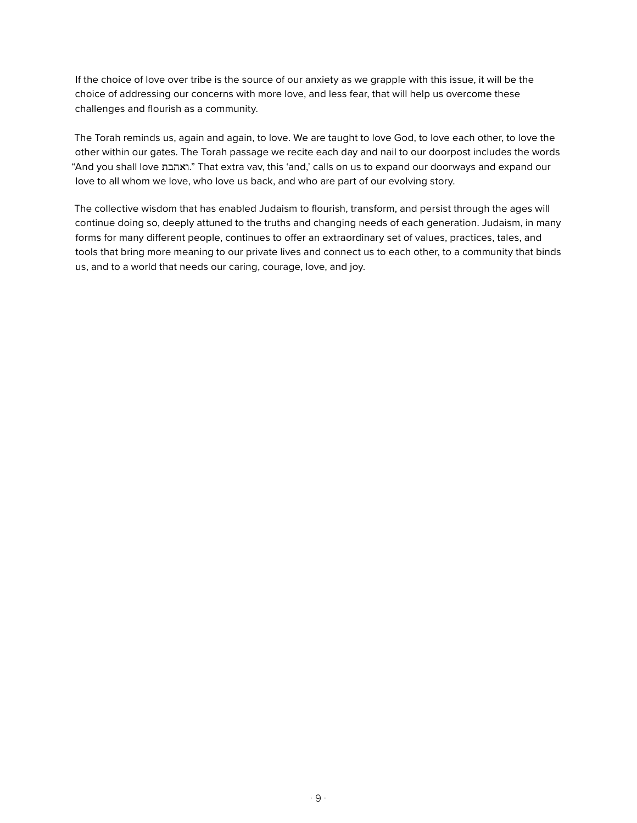If the choice of love over tribe is the source of our anxiety as we grapple with this issue, it will be the choice of addressing our concerns with more love, and less fear, that will help us overcome these challenges and flourish as a community.

The Torah reminds us, again and again, to love. We are taught to love God, to love each other, to love the other within our gates. The Torah passage we recite each day and nail to our doorpost includes the words "And you shall love ואהבת. "That extra vav, this 'and,' calls on us to expand our doorways and expand our love to all whom we love, who love us back, and who are part of our evolving story.

The collective wisdom that has enabled Judaism to flourish, transform, and persist through the ages will continue doing so, deeply attuned to the truths and changing needs of each generation. Judaism, in many forms for many different people, continues to offer an extraordinary set of values, practices, tales, and tools that bring more meaning to our private lives and connect us to each other, to a community that binds us, and to a world that needs our caring, courage, love, and joy.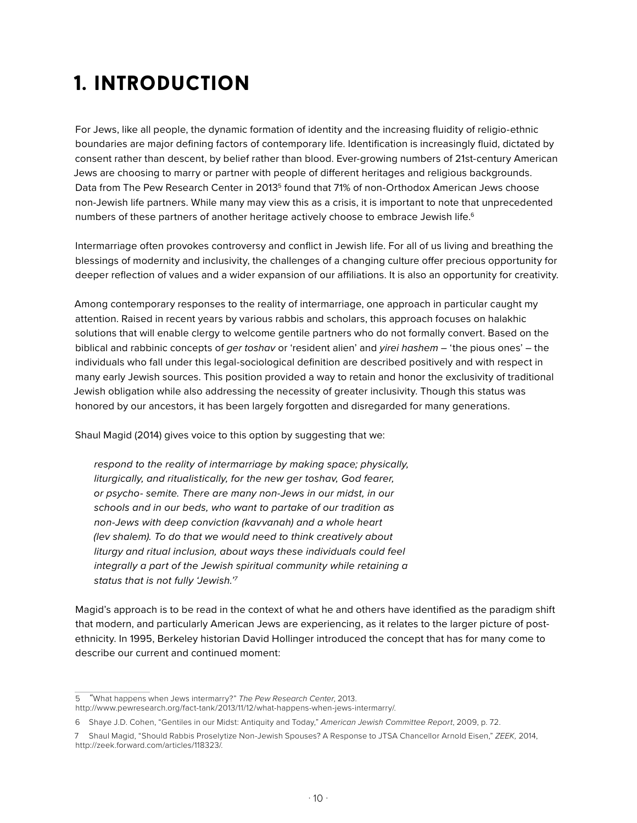### 1. introduction

For Jews, like all people, the dynamic formation of identity and the increasing fluidity of religio-ethnic boundaries are major defining factors of contemporary life. Identification is increasingly fluid, dictated by consent rather than descent, by belief rather than blood. Ever-growing numbers of 21st-century American Jews are choosing to marry or partner with people of different heritages and religious backgrounds. Data from The Pew Research Center in 2013<sup>5</sup> found that 71% of non-Orthodox American Jews choose non-Jewish life partners. While many may view this as a crisis, it is important to note that unprecedented numbers of these partners of another heritage actively choose to embrace Jewish life.<sup>6</sup>

Intermarriage often provokes controversy and conflict in Jewish life. For all of us living and breathing the blessings of modernity and inclusivity, the challenges of a changing culture offer precious opportunity for deeper reflection of values and a wider expansion of our affiliations. It is also an opportunity for creativity.

Among contemporary responses to the reality of intermarriage, one approach in particular caught my attention. Raised in recent years by various rabbis and scholars, this approach focuses on halakhic solutions that will enable clergy to welcome gentile partners who do not formally convert. Based on the biblical and rabbinic concepts of *ger toshav* or 'resident alien' and *yirei hashem* – 'the pious ones' – the individuals who fall under this legal-sociological definition are described positively and with respect in many early Jewish sources. This position provided a way to retain and honor the exclusivity of traditional Jewish obligation while also addressing the necessity of greater inclusivity. Though this status was honored by our ancestors, it has been largely forgotten and disregarded for many generations.

Shaul Magid (2014) gives voice to this option by suggesting that we:

*respond to the reality of intermarriage by making space; physically, liturgically, and ritualistically, for the new ger toshav, God fearer, or psycho- semite. There are many non-Jews in our midst, in our schools and in our beds, who want to partake of our tradition as non-Jews with deep conviction (kavvanah) and a whole heart (lev shalem). To do that we would need to think creatively about liturgy and ritual inclusion, about ways these individuals could feel integrally a part of the Jewish spiritual community while retaining a status that is not fully 'Jewish.'7*

Magid's approach is to be read in the context of what he and others have identified as the paradigm shift that modern, and particularly American Jews are experiencing, as it relates to the larger picture of postethnicity. In 1995, Berkeley historian David Hollinger introduced the concept that has for many come to describe our current and continued moment:

<sup>5</sup> *"*What happens when Jews intermarry?" *The Pew Research Center*, 2013. http://www.pewresearch.org/fact-tank/2013/11/12/what-happens-when-jews-intermarry/.

<sup>6</sup> Shaye J.D. Cohen, "Gentiles in our Midst: Antiquity and Today," *American Jewish Committee Report*, 2009, p. 72.

<sup>7</sup> Shaul Magid, "Should Rabbis Proselytize Non-Jewish Spouses? A Response to JTSA Chancellor Arnold Eisen," *ZEEK,* 2014, http://zeek.forward.com/articles/118323/.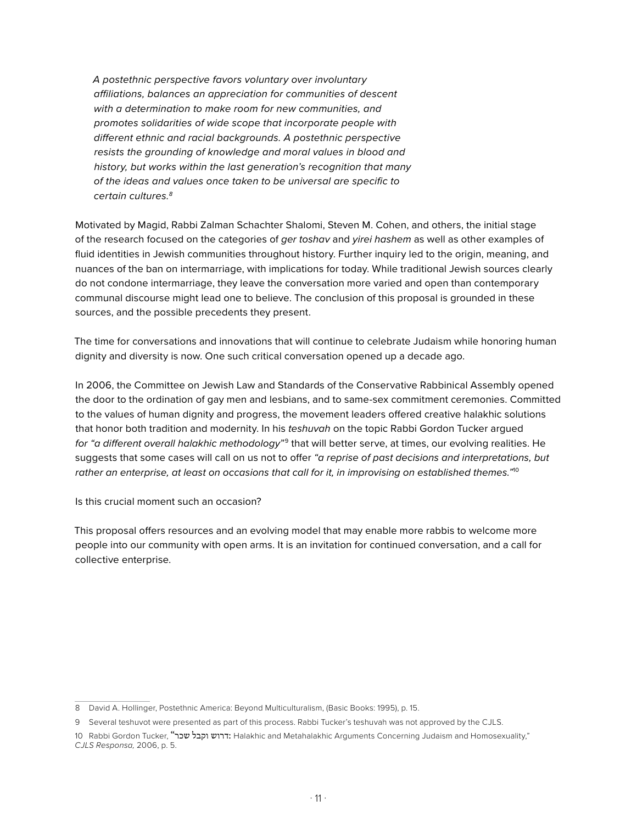*A postethnic perspective favors voluntary over involuntary affiliations, balances an appreciation for communities of descent with a determination to make room for new communities, and promotes solidarities of wide scope that incorporate people with different ethnic and racial backgrounds. A postethnic perspective resists the grounding of knowledge and moral values in blood and history, but works within the last generation's recognition that many of the ideas and values once taken to be universal are specific to certain cultures.8*

Motivated by Magid, Rabbi Zalman Schachter Shalomi, Steven M. Cohen, and others, the initial stage of the research focused on the categories of *ger toshav* and *yirei hashem* as well as other examples of fluid identities in Jewish communities throughout history. Further inquiry led to the origin, meaning, and nuances of the ban on intermarriage, with implications for today. While traditional Jewish sources clearly do not condone intermarriage, they leave the conversation more varied and open than contemporary communal discourse might lead one to believe. The conclusion of this proposal is grounded in these sources, and the possible precedents they present.

The time for conversations and innovations that will continue to celebrate Judaism while honoring human dignity and diversity is now. One such critical conversation opened up a decade ago.

In 2006, the Committee on Jewish Law and Standards of the Conservative Rabbinical Assembly opened the door to the ordination of gay men and lesbians, and to same-sex commitment ceremonies. Committed to the values of human dignity and progress, the movement leaders offered creative halakhic solutions that honor both tradition and modernity. In his *teshuvah* on the topic Rabbi Gordon Tucker argued *for "a different overall halakhic methodology*"9 that will better serve, at times, our evolving realities. He suggests that some cases will call on us not to offer *"a reprise of past decisions and interpretations, but rather an enterprise, at least on occasions that call for it, in improvising on established themes."*<sup>10</sup>

Is this crucial moment such an occasion?

This proposal offers resources and an evolving model that may enable more rabbis to welcome more people into our community with open arms. It is an invitation for continued conversation, and a call for collective enterprise.

<sup>8</sup> David A. Hollinger, Postethnic America: Beyond Multiculturalism, (Basic Books: 1995), p. 15.

<sup>9</sup> Several teshuvot were presented as part of this process. Rabbi Tucker's teshuvah was not approved by the CJLS.

<sup>10</sup> Rabbi Gordon Tucker, "דרוש וקבל שכר "Halakhic and Metahalakhic Arguments Concerning Judaism and Homosexuality, *CJLS Responsa,* 2006, p. 5.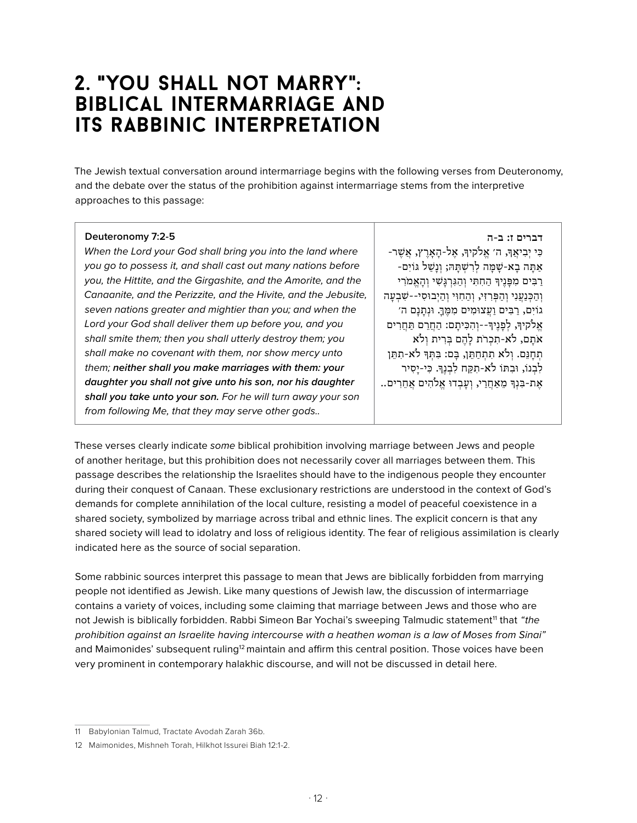### **2.** "**you shall not marry": biblical intermarriage and its rabbinic interpretation**

The Jewish textual conversation around intermarriage begins with the following verses from Deuteronomy, and the debate over the status of the prohibition against intermarriage stems from the interpretive approaches to this passage:

#### **Deuteronomy 7:2-5**

*When the Lord your God shall bring you into the land where you go to possess it, and shall cast out many nations before you, the Hittite, and the Girgashite, and the Amorite, and the Canaanite, and the Perizzite, and the Hivite, and the Jebusite, seven nations greater and mightier than you; and when the Lord your God shall deliver them up before you, and you shall smite them; then you shall utterly destroy them; you shall make no covenant with them, nor show mercy unto them; neither shall you make marriages with them: your daughter you shall not give unto his son, nor his daughter shall you take unto your son. For he will turn away your son from following Me, that they may serve other gods..*

**דברים ז: ב-ה**

ּכִ י יְ בִ יאֲ ָך, ה׳ אֱ ֹלקיָך, אֶ ל-הָ אָ רֶ ץ, אֲ ׁשֶ ר- -אַתָּה בָא*-שָׁמָּה לְרִשְׁתָּה;* וְנָשַׁל גּוֹיִם רַבִּים מִפַּנֵיךּ הַחִתִּי וְהַגְּרְגַּשִׁי וְהַאֱמֹרִי וְהַכְּנַעֲנִי וְהַפְּרִזִי, וְהַחִוִּי וְהַיְבוּסִי--שָׁבְעָה גוֹיִם, רַבִּים וַעֲצוּמִים מִמֵּךָ. וּנְתָנָם ה׳ אֱלֹקיךּ, לִפָּנֵיךּ--וְהִכִּיתַם: הַחֲרֵם תַּחֲרִים אֹתַם, לֹא-תִכְרֹת לַהֶם בְּרִית וְלֹא תְחָנֵם. וְלֹא תִתְחַתֵּן, בָּם: בִּתְּךָ לֹא-תִתֵּן לִבְנוֹ, וּבְתּוֹ לֹא-תִקַּח לִבְנֵךְ. כִּי-יַסִיר אֶת-בִּנְךָּ מֵאַחֲרַי, וְעָבְדוּ אֱלֹהִים אֲחֵרִים..

These verses clearly indicate *some* biblical prohibition involving marriage between Jews and people of another heritage, but this prohibition does not necessarily cover all marriages between them. This passage describes the relationship the Israelites should have to the indigenous people they encounter during their conquest of Canaan. These exclusionary restrictions are understood in the context of God's demands for complete annihilation of the local culture, resisting a model of peaceful coexistence in a shared society, symbolized by marriage across tribal and ethnic lines. The explicit concern is that any shared society will lead to idolatry and loss of religious identity. The fear of religious assimilation is clearly indicated here as the source of social separation.

Some rabbinic sources interpret this passage to mean that Jews are biblically forbidden from marrying people not identified as Jewish. Like many questions of Jewish law, the discussion of intermarriage contains a variety of voices, including some claiming that marriage between Jews and those who are not Jewish is biblically forbidden. Rabbi Simeon Bar Yochai's sweeping Talmudic statement<sup>11</sup> that *"the prohibition against an Israelite having intercourse with a heathen woman is a law of Moses from Sinai"* and Maimonides' subsequent ruling<sup>12</sup> maintain and affirm this central position. Those voices have been very prominent in contemporary halakhic discourse, and will not be discussed in detail here.

<sup>11</sup> Babylonian Talmud, Tractate Avodah Zarah 36b.

<sup>12</sup> Maimonides, Mishneh Torah, Hilkhot Issurei Biah 12:1-2.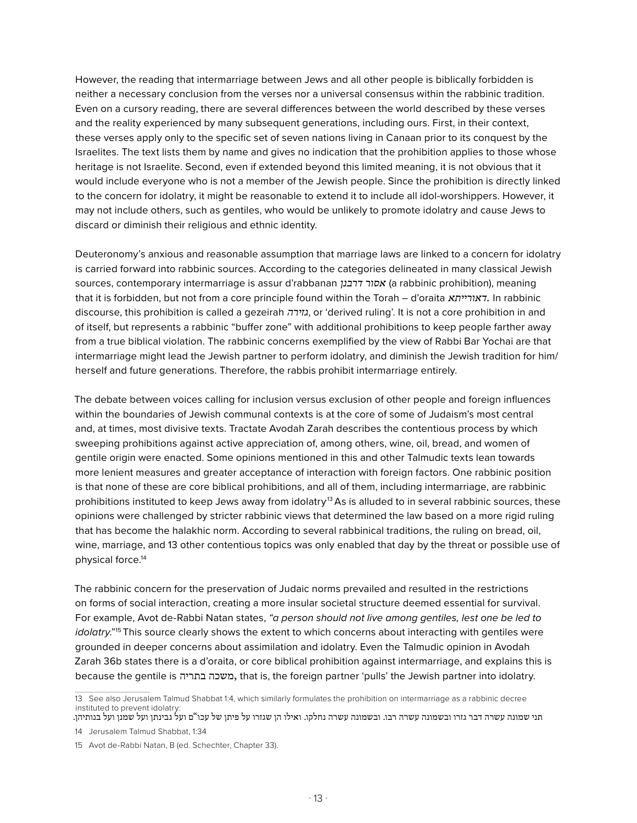However, the reading that intermarriage between Jews and all other people is biblically forbidden is neither a necessary conclusion from the verses nor a universal consensus within the rabbinic tradition. Even on a cursory reading, there are several differences between the world described by these verses and the reality experienced by many subsequent generations, including ours. First, in their context, these verses apply only to the specific set of seven nations living in Canaan prior to its conquest by the Israelites. The text lists them by name and gives no indication that the prohibition applies to those whose heritage is not Israelite. Second, even if extended beyond this limited meaning, it is not obvious that it would include everyone who is not a member of the Jewish people. Since the prohibition is directly linked to the concern for idolatry, it might be reasonable to extend it to include all idol-worshippers. However, it may not include others, such as gentiles, who would be unlikely to promote idolatry and cause Jews to discard or diminish their religious and ethnic identity.

Deuteronomy's anxious and reasonable assumption that marriage laws are linked to a concern for idolatry is carried forward into rabbinic sources. According to the categories delineated in many classical Jewish sources, contemporary intermarriage is assur d'rabbanan *דרבנן אסור*) a rabbinic prohibition), meaning that it is forbidden, but not from a core principle found within the Torah – d'oraita *דאורייתא*. In rabbinic discourse, this prohibition is called a gezeirah *גזירה*, or 'derived ruling'. It is not a core prohibition in and of itself, but represents a rabbinic "buffer zone" with additional prohibitions to keep people farther away from a true biblical violation. The rabbinic concerns exemplified by the view of Rabbi Bar Yochai are that intermarriage might lead the Jewish partner to perform idolatry, and diminish the Jewish tradition for him/ herself and future generations. Therefore, the rabbis prohibit intermarriage entirely.

The debate between voices calling for inclusion versus exclusion of other people and foreign influences within the boundaries of Jewish communal contexts is at the core of some of Judaism's most central and, at times, most divisive texts. Tractate Avodah Zarah describes the contentious process by which sweeping prohibitions against active appreciation of, among others, wine, oil, bread, and women of gentile origin were enacted. Some opinions mentioned in this and other Talmudic texts lean towards more lenient measures and greater acceptance of interaction with foreign factors. One rabbinic position is that none of these are core biblical prohibitions, and all of them, including intermarriage, are rabbinic prohibitions instituted to keep Jews away from idolatry<sup>13</sup> As is alluded to in several rabbinic sources, these opinions were challenged by stricter rabbinic views that determined the law based on a more rigid ruling that has become the halakhic norm. According to several rabbinical traditions, the ruling on bread, oil, wine, marriage, and 13 other contentious topics was only enabled that day by the threat or possible use of physical force.14

The rabbinic concern for the preservation of Judaic norms prevailed and resulted in the restrictions on forms of social interaction, creating a more insular societal structure deemed essential for survival. For example, Avot de-Rabbi Natan states, *"a person should not live among gentiles, lest one be led to idolatry*."<sup>15</sup> This source clearly shows the extent to which concerns about interacting with gentiles were grounded in deeper concerns about assimilation and idolatry. Even the Talmudic opinion in Avodah Zarah 36b states there is a d'oraita, or core biblical prohibition against intermarriage, and explains this is because the gentile is בתריה משכה, that is, the foreign partner 'pulls' the Jewish partner into idolatry.

<sup>13</sup> See also Jerusalem Talmud Shabbat 1:4, which similarly formulates the prohibition on intermarriage as a rabbinic decree instituted to prevent idolatry:

תני שמונה עשרה דבר גזרו ובשמונה עשרה רבו. ובשמונה עשרה נחלקו. ואילו הן שגזרו על פיתן של עכו"ם ועל גבינתן ועל שמנן ועל בנותיהן. 14 Jerusalem Talmud Shabbat, 1:34

<sup>15</sup> Avot de-Rabbi Natan, B (ed. Schechter, Chapter 33).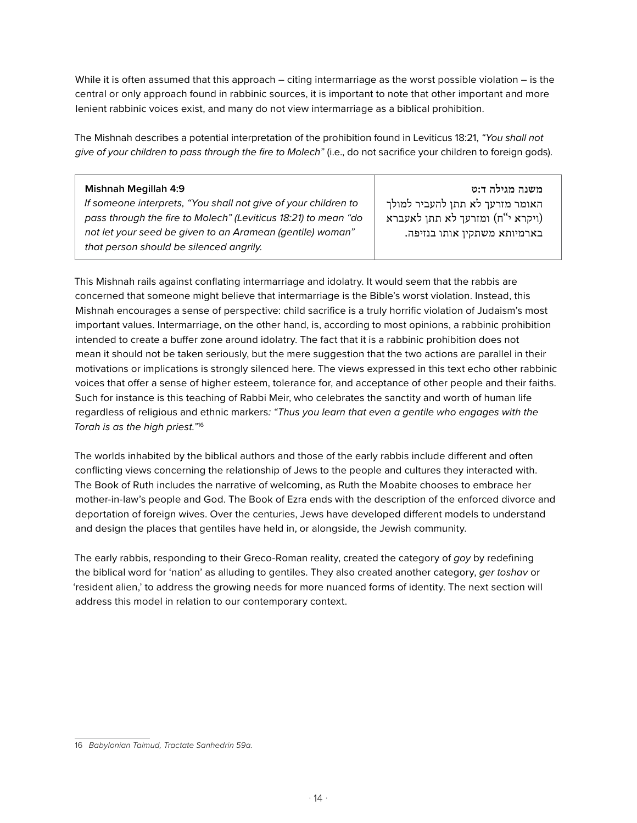While it is often assumed that this approach – citing intermarriage as the worst possible violation – is the central or only approach found in rabbinic sources, it is important to note that other important and more lenient rabbinic voices exist, and many do not view intermarriage as a biblical prohibition.

The Mishnah describes a potential interpretation of the prohibition found in Leviticus 18:21, *"You shall not give of your children to pass through the fire to Molech"* (i.e., do not sacrifice your children to foreign gods).

#### **Mishnah Megillah 4:9**

*If someone interprets, "You shall not give of your children to pass through the fire to Molech" (Leviticus 18:21) to mean "do not let your seed be given to an Aramean (gentile) woman" that person should be silenced angrily.* 

**משנה מגילה ד:ט** האומר מזרעך לא תתן להעביר למולך ויקרא י"ח) ומזרעך לא תתן לאעברא) בארמיותא משתקין אותו בנזיפה .

This Mishnah rails against conflating intermarriage and idolatry. It would seem that the rabbis are concerned that someone might believe that intermarriage is the Bible's worst violation. Instead, this Mishnah encourages a sense of perspective: child sacrifice is a truly horrific violation of Judaism's most important values. Intermarriage, on the other hand, is, according to most opinions, a rabbinic prohibition intended to create a buffer zone around idolatry. The fact that it is a rabbinic prohibition does not mean it should not be taken seriously, but the mere suggestion that the two actions are parallel in their motivations or implications is strongly silenced here. The views expressed in this text echo other rabbinic voices that offer a sense of higher esteem, tolerance for, and acceptance of other people and their faiths. Such for instance is this teaching of Rabbi Meir, who celebrates the sanctity and worth of human life regardless of religious and ethnic markers*: "Thus you learn that even a gentile who engages with the Torah is as the high priest."*<sup>16</sup>

The worlds inhabited by the biblical authors and those of the early rabbis include different and often conflicting views concerning the relationship of Jews to the people and cultures they interacted with. The Book of Ruth includes the narrative of welcoming, as Ruth the Moabite chooses to embrace her mother-in-law's people and God. The Book of Ezra ends with the description of the enforced divorce and deportation of foreign wives. Over the centuries, Jews have developed different models to understand and design the places that gentiles have held in, or alongside, the Jewish community.

The early rabbis, responding to their Greco-Roman reality, created the category of *goy* by redefining the biblical word for 'nation' as alluding to gentiles. They also created another category, *ger toshav* or 'resident alien,' to address the growing needs for more nuanced forms of identity. The next section will address this model in relation to our contemporary context.

<sup>16</sup> *Babylonian Talmud, Tractate Sanhedrin 59a.*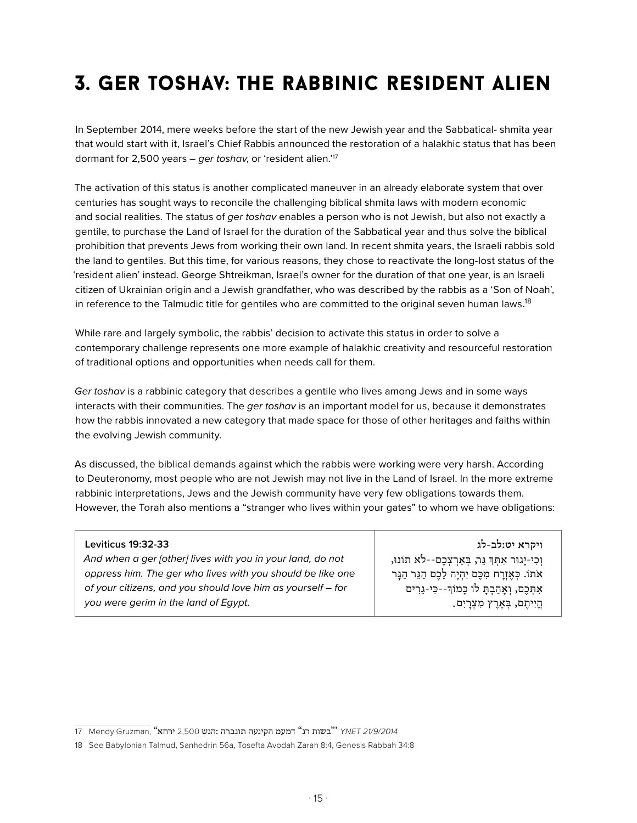### 3. ger toshav: the rabbinic resident alien

In September 2014, mere weeks before the start of the new Jewish year and the Sabbatical- shmita year that would start with it, Israel's Chief Rabbis announced the restoration of a halakhic status that has been dormant for 2,500 years – *ger toshav*, or 'resident alien.'17

The activation of this status is another complicated maneuver in an already elaborate system that over centuries has sought ways to reconcile the challenging biblical shmita laws with modern economic and social realities. The status of *ger toshav* enables a person who is not Jewish, but also not exactly a gentile, to purchase the Land of Israel for the duration of the Sabbatical year and thus solve the biblical prohibition that prevents Jews from working their own land. In recent shmita years, the Israeli rabbis sold the land to gentiles. But this time, for various reasons, they chose to reactivate the long-lost status of the 'resident alien' instead. George Shtreikman, Israel's owner for the duration of that one year, is an Israeli citizen of Ukrainian origin and a Jewish grandfather, who was described by the rabbis as a 'Son of Noah', in reference to the Talmudic title for gentiles who are committed to the original seven human laws. $^{18}$ 

While rare and largely symbolic, the rabbis' decision to activate this status in order to solve a contemporary challenge represents one more example of halakhic creativity and resourceful restoration of traditional options and opportunities when needs call for them.

*Ger toshav* is a rabbinic category that describes a gentile who lives among Jews and in some ways interacts with their communities. The *ger toshav* is an important model for us, because it demonstrates how the rabbis innovated a new category that made space for those of other heritages and faiths within the evolving Jewish community.

As discussed, the biblical demands against which the rabbis were working were very harsh. According to Deuteronomy, most people who are not Jewish may not live in the Land of Israel. In the more extreme rabbinic interpretations, Jews and the Jewish community have very few obligations towards them. However, the Torah also mentions a "stranger who lives within your gates" to whom we have obligations:

#### **Leviticus 19:32-33**

*And when a ger [other] lives with you in your land, do not oppress him. The ger who lives with you should be like one of your citizens, and you should love him as yourself – for you were gerim in the land of Egypt.* 

**ויקרא יט:לב-לג** וְ כִ י-יָ גּור אִ ּתְ ָך ּגֵ ר, ּבְ אַ רְ צְ כֶ ם--לֹא תֹונּו, אֹתֹו. כְּאֵזְרַח מִכֶּם יִהְיֶה לַכֶם הַגֶּר הַגַּר אִ ּתְ כֶ ם, וְ אָ הַ בְ ּתָ לֹו ּכָ מֹוָךּ--כִ י-גֵ רִ ים הֱיִיתֶם, בְּאֶרֶץ מִצְרָיִם.

<sup>77</sup> Mendy Gruzman, "ירחא" 2,500 בשות רג<sup>"</sup> דמעמ הקינעה תונברה :הנש

<sup>18</sup> See Babylonian Talmud, Sanhedrin 56a, Tosefta Avodah Zarah 8:4, Genesis Rabbah 34:8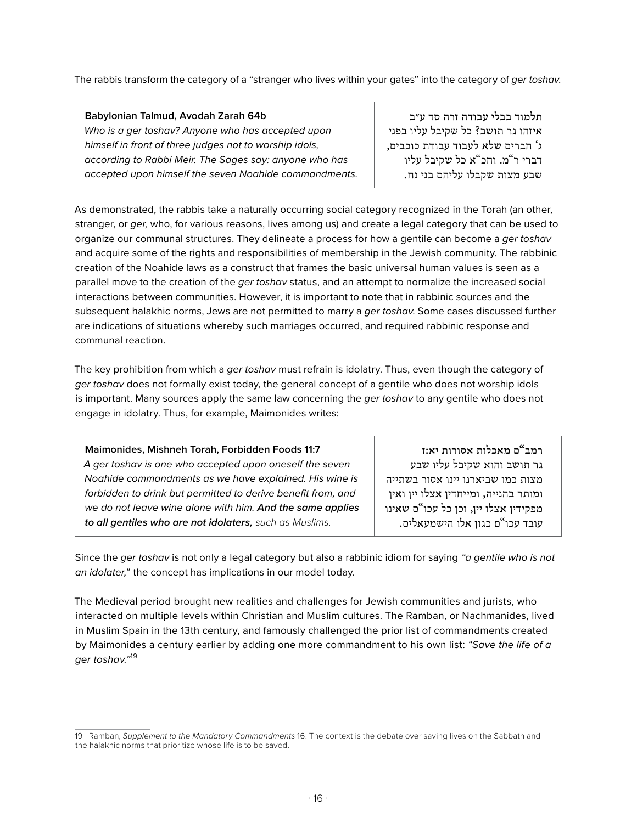The rabbis transform the category of a "stranger who lives within your gates" into the category of *ger toshav*.

| Babylonian Talmud, Avodah Zarah 64b                    | תלמוד בבלי עבודה זרה סד ע״ב       |
|--------------------------------------------------------|-----------------------------------|
| Who is a ger toshav? Anyone who has accepted upon      | איזהו גר תושב? כל שקיבל עליו בפני |
| himself in front of three judges not to worship idols, | ג' חברים שלא לעבוד עבודת כוכבים,  |
| according to Rabbi Meir. The Sages say: anyone who has | דברי ר"מ. וחכ"א כל שקיבל עליו     |
| accepted upon himself the seven Noahide commandments.  | שבע מצות שקבלו עליהם בני נח.      |

As demonstrated, the rabbis take a naturally occurring social category recognized in the Torah (an other, stranger, or *ger,* who, for various reasons, lives among us) and create a legal category that can be used to organize our communal structures. They delineate a process for how a gentile can become a *ger toshav*  and acquire some of the rights and responsibilities of membership in the Jewish community. The rabbinic creation of the Noahide laws as a construct that frames the basic universal human values is seen as a parallel move to the creation of the *ger toshav* status, and an attempt to normalize the increased social interactions between communities. However, it is important to note that in rabbinic sources and the subsequent halakhic norms, Jews are not permitted to marry a *ger toshav*. Some cases discussed further are indications of situations whereby such marriages occurred, and required rabbinic response and communal reaction.

The key prohibition from which a *ger toshav* must refrain is idolatry. Thus, even though the category of *ger toshav* does not formally exist today, the general concept of a gentile who does not worship idols is important. Many sources apply the same law concerning the *ger toshav* to any gentile who does not engage in idolatry. Thus, for example, Maimonides writes:

| Maimonides, Mishneh Torah, Forbidden Foods 11:7              |      |
|--------------------------------------------------------------|------|
| A ger toshav is one who accepted upon oneself the seven      |      |
| Noahide commandments as we have explained. His wine is       | נייה |
| forbidden to drink but permitted to derive benefit from, and | אין  |
| we do not leave wine alone with him. And the same applies    | אינו |
| to all gentiles who are not idolaters, such as Muslims.      |      |
|                                                              |      |

**רמב"ם מאכלות אסורות יא:ז** גר תושב והוא שקיבל עליו שבע מצות כמו שביארנו יינו אסור בשת ומותר בהנייה, ומייחדין אצלו יין ו: מפקידין אצלו יין, וכן כל עכו"ם ש: עובד עכו"ם כגון אלו הישמעאלים .

Since the *ger toshav* is not only a legal category but also a rabbinic idiom for saying *"a gentile who is not an idolater,"* the concept has implications in our model today.

The Medieval period brought new realities and challenges for Jewish communities and jurists, who interacted on multiple levels within Christian and Muslim cultures. The Ramban, or Nachmanides, lived in Muslim Spain in the 13th century, and famously challenged the prior list of commandments created by Maimonides a century earlier by adding one more commandment to his own list: *"Save the life of a ger toshav."*<sup>19</sup>

<sup>19</sup> Ramban, *Supplement to the Mandatory Commandments* 16. The context is the debate over saving lives on the Sabbath and the halakhic norms that prioritize whose life is to be saved.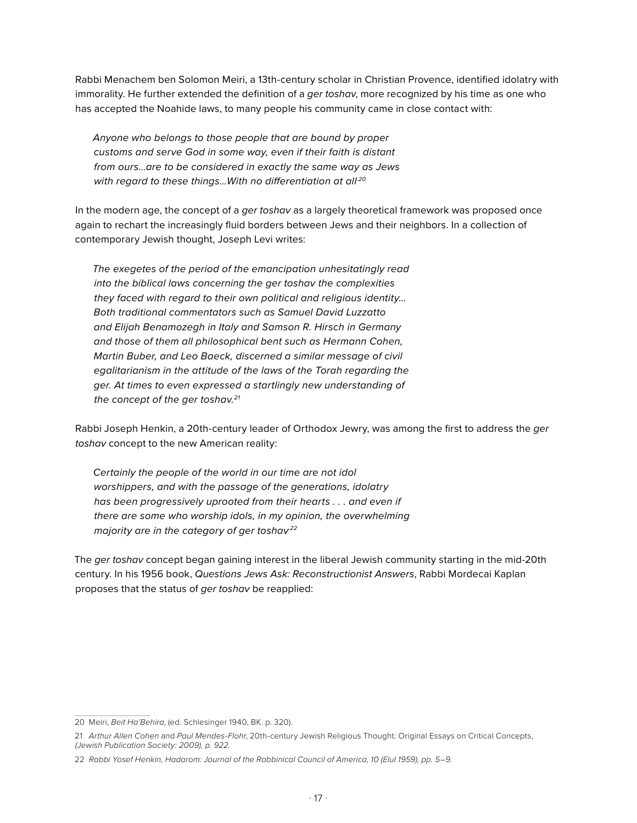Rabbi Menachem ben Solomon Meiri, a 13th-century scholar in Christian Provence, identified idolatry with immorality. He further extended the definition of a *ger toshav*, more recognized by his time as one who has accepted the Noahide laws, to many people his community came in close contact with:

*Anyone who belongs to those people that are bound by proper customs and serve God in some way, even if their faith is distant from ours…are to be considered in exactly the same way as Jews*  with regard to these things...With no differentiation at all<sup>20</sup>

In the modern age, the concept of a *ger toshav* as a largely theoretical framework was proposed once again to rechart the increasingly fluid borders between Jews and their neighbors. In a collection of contemporary Jewish thought, Joseph Levi writes:

*The exegetes of the period of the emancipation unhesitatingly read into the biblical laws concerning the ger toshav the complexities they faced with regard to their own political and religious identity… Both traditional commentators such as Samuel David Luzzatto and Elijah Benamozegh in Italy and Samson R. Hirsch in Germany and those of them all philosophical bent such as Hermann Cohen, Martin Buber, and Leo Baeck, discerned a similar message of civil egalitarianism in the attitude of the laws of the Torah regarding the ger. At times to even expressed a startlingly new understanding of the concept of the ger toshav.21*

Rabbi Joseph Henkin, a 20th-century leader of Orthodox Jewry, was among the first to address the *ger toshav* concept to the new American reality:

*Certainly the people of the world in our time are not idol worshippers, and with the passage of the generations, idolatry has been progressively uprooted from their hearts . . . and even if there are some who worship idols, in my opinion, the overwhelming majority are in the category of ger toshav.22*

The *ger toshav* concept began gaining interest in the liberal Jewish community starting in the mid-20th century. In his 1956 book, *Questions Jews Ask: Reconstructionist Answers*, Rabbi Mordecai Kaplan proposes that the status of *ger toshav* be reapplied:

<sup>20</sup> Meiri, *Beit Ha'Behira*, (ed. Schlesinger 1940, BK. p. 320).

<sup>21</sup> *Arthur Allen Cohen* and *Paul Mendes-Flohr*, 20th-century Jewish Religious Thought: Original Essays on Critical Concepts, *(Jewish Publication Society: 2009), p. 922.*

<sup>22</sup> *Rabbi Yosef Henkin, Hadarom: Journal of the Rabbinical Council of America, 10 (Elul 1959), pp. 5–9.*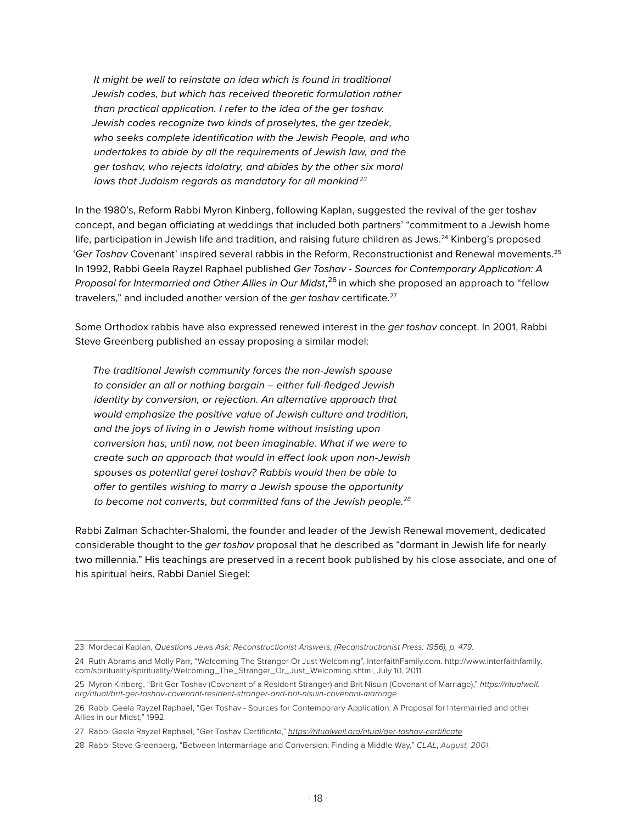*It might be well to reinstate an idea which is found in traditional Jewish codes, but which has received theoretic formulation rather than practical application. I refer to the idea of the ger toshav. Jewish codes recognize two kinds of proselytes, the ger tzedek, who seeks complete identification with the Jewish People, and who undertakes to abide by all the requirements of Jewish law, and the ger toshav, who rejects idolatry, and abides by the other six moral laws that Judaism regards as mandatory for all mankind.23*

In the 1980's, Reform Rabbi Myron Kinberg, following Kaplan, suggested the revival of the ger toshav concept, and began officiating at weddings that included both partners' "commitment to a Jewish home life, participation in Jewish life and tradition, and raising future children as Jews.<sup>24</sup> Kinberg's proposed '*Ger Toshav* Covenant' inspired several rabbis in the Reform, Reconstructionist and Renewal movements.25 In 1992, Rabbi Geela Rayzel Raphael published *Ger Toshav - Sources for Contemporary Application: A Proposal for Intermarried and Other Allies in Our Midst*, 26 in which she proposed an approach to "fellow travelers," and included another version of the *ger toshav* certificate.<sup>27</sup>

Some Orthodox rabbis have also expressed renewed interest in the *ger toshav* concept. In 2001, Rabbi Steve Greenberg published an essay proposing a similar model:

*The traditional Jewish community forces the non-Jewish spouse to consider an all or nothing bargain – either full-fledged Jewish identity by conversion, or rejection. An alternative approach that would emphasize the positive value of Jewish culture and tradition, and the joys of living in a Jewish home without insisting upon conversion has, until now, not been imaginable. What if we were to create such an approach that would in effect look upon non-Jewish spouses as potential gerei toshav? Rabbis would then be able to offer to gentiles wishing to marry a Jewish spouse the opportunity to become not converts, but committed fans of the Jewish people.<sup>28</sup>*

Rabbi Zalman Schachter-Shalomi, the founder and leader of the Jewish Renewal movement, dedicated considerable thought to the *ger toshav* proposal that he described as "dormant in Jewish life for nearly two millennia." His teachings are preserved in a recent book published by his close associate, and one of his spiritual heirs, Rabbi Daniel Siegel:

<sup>23</sup> Mordecai Kaplan, *Questions Jews Ask: Reconstructionist Answers, (Reconstructionist Press: 1956), p. 479.*

<sup>24</sup> Ruth Abrams and Molly Parr, "Welcoming The Stranger Or Just Welcoming", InterfaithFamily.com. http://www.interfaithfamily. com/spirituality/spirituality/Welcoming\_The\_Stranger\_Or\_Just\_Welcoming.shtml, July 10, 2011.

<sup>25</sup> Myron Kinberg, "Brit Ger Toshav (Covenant of a Resident Stranger) and Brit Nisuin (Covenant of Marriage)," *https://ritualwell. org/ritual/brit-ger-toshav-covenant-resident-stranger-and-brit-nisuin-covenant-marriage*

<sup>26</sup> Rabbi Geela Rayzel Raphael, "Ger Toshav - Sources for Contemporary Application: A Proposal for Intermarried and other Allies in our Midst," 1992.

<sup>27</sup> Rabbi Geela Rayzel Raphael, "Ger Toshav Certificate," *https://ritualwell.org/ritual/ger-toshav-certificate*

<sup>28</sup> Rabbi Steve Greenberg, "Between Intermarriage and Conversion: Finding a Middle Way," *CLAL*, *August, 2001.*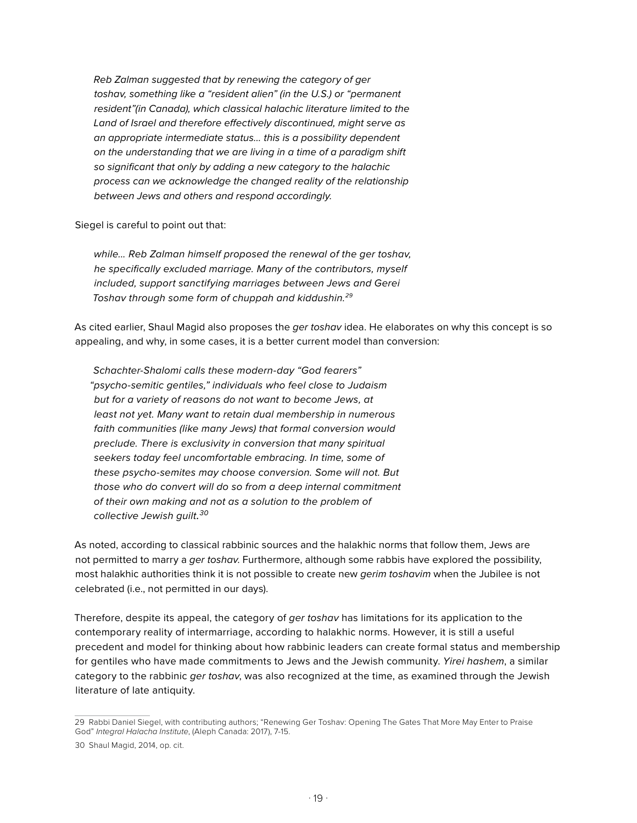*Reb Zalman suggested that by renewing the category of ger toshav, something like a "resident alien" (in the U.S.) or "permanent resident"(in Canada), which classical halachic literature limited to the Land of Israel and therefore effectively discontinued, might serve as an appropriate intermediate status… this is a possibility dependent on the understanding that we are living in a time of a paradigm shift so significant that only by adding a new category to the halachic process can we acknowledge the changed reality of the relationship between Jews and others and respond accordingly.*

Siegel is careful to point out that:

*while... Reb Zalman himself proposed the renewal of the ger toshav, he specifically excluded marriage. Many of the contributors, myself included, support sanctifying marriages between Jews and Gerei Toshav through some form of chuppah and kiddushin.29*

As cited earlier, Shaul Magid also proposes the *ger toshav* idea. He elaborates on why this concept is so appealing, and why, in some cases, it is a better current model than conversion:

*Schachter-Shalomi calls these modern-day "God fearers" "psycho-semitic gentiles," individuals who feel close to Judaism but for a variety of reasons do not want to become Jews, at least not yet. Many want to retain dual membership in numerous faith communities (like many Jews) that formal conversion would preclude. There is exclusivity in conversion that many spiritual seekers today feel uncomfortable embracing. In time, some of these psycho-semites may choose conversion. Some will not. But those who do convert will do so from a deep internal commitment of their own making and not as a solution to the problem of collective Jewish guilt. 30*

As noted, according to classical rabbinic sources and the halakhic norms that follow them, Jews are not permitted to marry a *ger toshav*. Furthermore, although some rabbis have explored the possibility, most halakhic authorities think it is not possible to create new *gerim toshavim* when the Jubilee is not celebrated (i.e., not permitted in our days).

Therefore, despite its appeal, the category of *ger toshav* has limitations for its application to the contemporary reality of intermarriage, according to halakhic norms. However, it is still a useful precedent and model for thinking about how rabbinic leaders can create formal status and membership for gentiles who have made commitments to Jews and the Jewish community. *Yirei hashem*, a similar category to the rabbinic *ger toshav*, was also recognized at the time, as examined through the Jewish literature of late antiquity.

<sup>29</sup> Rabbi Daniel Siegel, with contributing authors; "Renewing Ger Toshav: Opening The Gates That More May Enter to Praise God" *Integral Halacha Institute*, (Aleph Canada: 2017), 7-15.

<sup>30</sup> Shaul Magid, 2014, op. cit.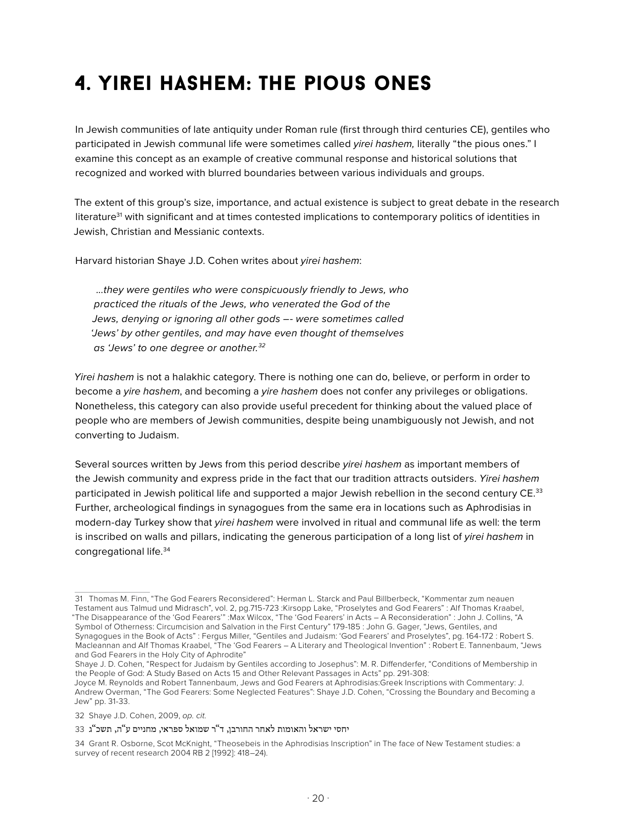### 4. yirei hashem: the pious ones

In Jewish communities of late antiquity under Roman rule (first through third centuries CE), gentiles who participated in Jewish communal life were sometimes called *yirei hashem,* literally "the pious ones." I examine this concept as an example of creative communal response and historical solutions that recognized and worked with blurred boundaries between various individuals and groups.

The extent of this group's size, importance, and actual existence is subject to great debate in the research literature<sup>31</sup> with significant and at times contested implications to contemporary politics of identities in Jewish, Christian and Messianic contexts.

Harvard historian Shaye J.D. Cohen writes about *yirei hashem*:

 *...they were gentiles who were conspicuously friendly to Jews, who practiced the rituals of the Jews, who venerated the God of the Jews, denying or ignoring all other gods –- were sometimes called 'Jews' by other gentiles, and may have even thought of themselves as 'Jews' to one degree or another.32*

*Yirei hashem* is not a halakhic category. There is nothing one can do, believe, or perform in order to become a *yire hashem*, and becoming a *yire hashem* does not confer any privileges or obligations. Nonetheless, this category can also provide useful precedent for thinking about the valued place of people who are members of Jewish communities, despite being unambiguously not Jewish, and not converting to Judaism.

Several sources written by Jews from this period describe *yirei hashem* as important members of the Jewish community and express pride in the fact that our tradition attracts outsiders. *Yirei hashem*  participated in Jewish political life and supported a major Jewish rebellion in the second century CE.<sup>33</sup> Further, archeological findings in synagogues from the same era in locations such as Aphrodisias in modern-day Turkey show that *yirei hashem* were involved in ritual and communal life as well: the term is inscribed on walls and pillars, indicating the generous participation of a long list of *yirei hashem* in congregational life.34

<sup>31</sup> Thomas M. Finn, "The God Fearers Reconsidered": Herman L. Starck and Paul Billberbeck, "Kommentar zum neauen Testament aus Talmud und Midrasch", vol. 2, pg.715-723 :Kirsopp Lake, "Proselytes and God Fearers" : Alf Thomas Kraabel, "The Disappearance of the 'God Fearers'" :Max Wilcox, "The 'God Fearers' in Acts – A Reconsideration" : John J. Collins, "A Symbol of Otherness: Circumcision and Salvation in the First Century" 179-185 : John G. Gager, "Jews, Gentiles, and Synagogues in the Book of Acts" : Fergus Miller, "Gentiles and Judaism: 'God Fearers' and Proselytes", pg. 164-172 : Robert S. Macleannan and Alf Thomas Kraabel, "The 'God Fearers – A Literary and Theological Invention" : Robert E. Tannenbaum, "Jews and God Fearers in the Holy City of Aphrodite"

Shaye J. D. Cohen, "Respect for Judaism by Gentiles according to Josephus": M. R. Diffenderfer, "Conditions of Membership in the People of God: A Study Based on Acts 15 and Other Relevant Passages in Acts" pp. 291-308:

Joyce M. Reynolds and Robert Tannenbaum, Jews and God Fearers at Aphrodisias:Greek Inscriptions with Commentary: J. Andrew Overman, "The God Fearers: Some Neglected Features": Shaye J.D. Cohen, "Crossing the Boundary and Becoming a Jew" pp. 31-33.

<sup>32</sup> Shaye J.D. Cohen, 2009, *op. cit.*

יחסי ישראל והאומות לאחר החורבן, ד"ר שמואל ספראי, מחניים ע"ה, תשכ"ג 33

<sup>34</sup> Grant R. Osborne, Scot McKnight, "Theosebeis in the Aphrodisias Inscription" in The face of New Testament studies: a survey of recent research 2004 RB 2 [1992]: 418–24).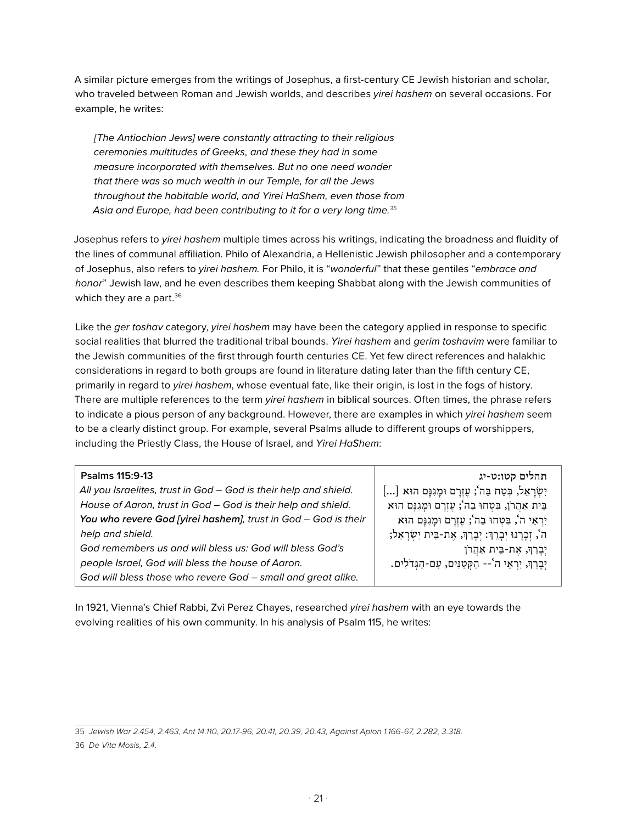A similar picture emerges from the writings of Josephus, a first-century CE Jewish historian and scholar, who traveled between Roman and Jewish worlds, and describes *yirei hashem* on several occasions. For example, he writes:

*[The Antiochian Jews] were constantly attracting to their religious ceremonies multitudes of Greeks, and these they had in some measure incorporated with themselves. But no one need wonder that there was so much wealth in our Temple, for all the Jews throughout the habitable world, and Yirei HaShem, even those from Asia and Europe, had been contributing to it for a very long time.<sup>35</sup>*

Josephus refers to *yirei hashem* multiple times across his writings, indicating the broadness and fluidity of the lines of communal affiliation. Philo of Alexandria, a Hellenistic Jewish philosopher and a contemporary of Josephus, also refers to *yirei hashem.* For Philo, it is "*wonderful*" that these gentiles "*embrace and honor*" Jewish law, and he even describes them keeping Shabbat along with the Jewish communities of which they are a part.<sup>36</sup>

Like the *ger toshav* category, *yirei hashem* may have been the category applied in response to specific social realities that blurred the traditional tribal bounds. *Yirei hashem* and *gerim toshavim* were familiar to the Jewish communities of the first through fourth centuries CE. Yet few direct references and halakhic considerations in regard to both groups are found in literature dating later than the fifth century CE, primarily in regard to *yirei hashem*, whose eventual fate, like their origin, is lost in the fogs of history. There are multiple references to the term *yirei hashem* in biblical sources. Often times, the phrase refers to indicate a pious person of any background. However, there are examples in which *yirei hashem* seem to be a clearly distinct group. For example, several Psalms allude to different groups of worshippers, including the Priestly Class, the House of Israel, and *Yirei HaShem*:

| Psalms 115:9-13                                                  | תהלים קטו:ט-יג                                          |
|------------------------------------------------------------------|---------------------------------------------------------|
| All you Israelites, trust in God - God is their help and shield. | יִשְׂרָאֵל, בְּטַח בַּה'; עֶזְרָם וּמָגִנְם הוּא []     |
| House of Aaron, trust in God - God is their help and shield.     | בֵּית אַהֲרֹן, בִּטְחוּ בַה'; עֵזְרָם וּמָגְנָם הוּא    |
| You who revere God [yirei hashem], trust in God - God is their   | יִרְאֵי ה', בִּטְחוּ בַה'; עֵזְרַם וּמַגְנַם הוּא       |
| help and shield.                                                 | ה', זִכְרָנוּ יִבְרֵךְ: יִבְרֵךְ, אֶת-בֵּית יִשְׂרָאֵל; |
| God remembers us and will bless us: God will bless God's         | יִבָרֵךְ, אֵת-בֵּית אַהֲרֹן                             |
| people Israel, God will bless the house of Aaron.                | יִבְרֵךְ, יִרְאֵי ה'-- הַקְטַנִּים, עִם-הַגְּדֹלִים.    |
| God will bless those who revere God - small and great alike.     |                                                         |

In 1921, Vienna's Chief Rabbi, Zvi Perez Chayes, researched *yirei hashem* with an eye towards the evolving realities of his own community. In his analysis of Psalm 115, he writes:

<sup>35</sup> *Jewish War 2.454, 2.463, Ant 14.110, 20.17-96, 20.41, 20.39, 20.43, Against Apion 1.166-67, 2.282, 3.318.*

<sup>36</sup> *De Vita Mosis, 2.4.*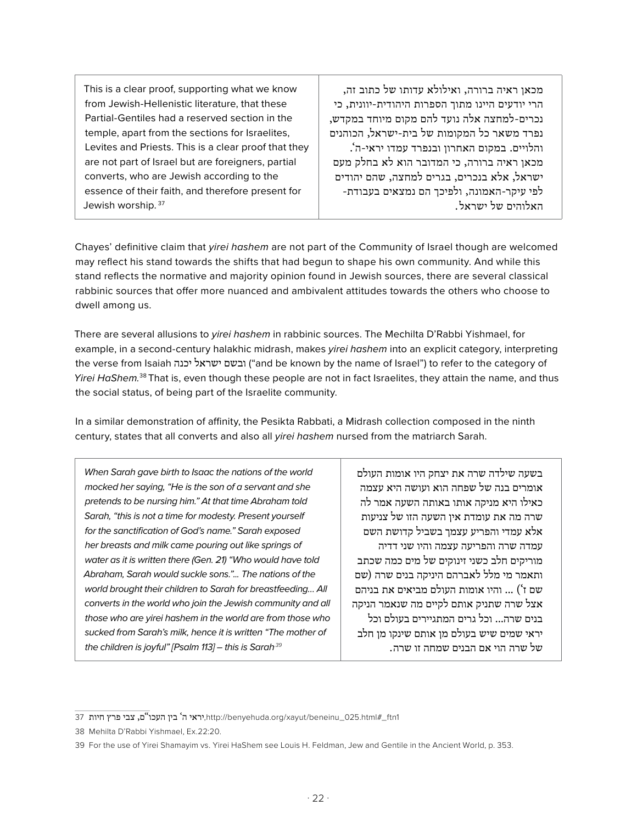This is a clear proof, supporting what we know from Jewish-Hellenistic literature, that these Partial-Gentiles had a reserved section in the temple, apart from the sections for Israelites, Levites and Priests. This is a clear proof that they are not part of Israel but are foreigners, partial converts, who are Jewish according to the essence of their faith, and therefore present for Jewish worship. 37

מכאן ראיה ברורה, ואילולא עדותו של כתוב זה, הרי יודעים היינו מתוך הספרות היהודית-יוונית, כי נכרים-למחצה אלה נועד להם מקום מיוחד במקדש, נפרד משאר כל המקומות של בית-ישראל, הכוהנים והלויים. במקום האחרון ובנפרד עמדו יראי-ה'. מכאן ראיה ברורה, כי המדובר הוא לא בחלק מעם ישראל, אלא בנכרים, בגרים למחצה, שהם יהודים לפי עיקר-האמונה, ולפיכך הם נמצאים בעבודת- האלוהים של ישראל .

Chayes' definitive claim that *yirei hashem* are not part of the Community of Israel though are welcomed may reflect his stand towards the shifts that had begun to shape his own community. And while this stand reflects the normative and majority opinion found in Jewish sources, there are several classical rabbinic sources that offer more nuanced and ambivalent attitudes towards the others who choose to dwell among us.

There are several allusions to *yirei hashem* in rabbinic sources. The Mechilta D'Rabbi Yishmael, for example, in a second-century halakhic midrash, makes *yirei hashem* into an explicit category, interpreting the verse from Isaiah יכנה ישראל ובשם") and be known by the name of Israel") to refer to the category of *Yirei HaShem.*<sup>38</sup> That is, even though these people are not in fact Israelites, they attain the name, and thus the social status, of being part of the Israelite community.

In a similar demonstration of affinity, the Pesikta Rabbati, a Midrash collection composed in the ninth century, states that all converts and also all *yirei hashem* nursed from the matriarch Sarah.

*When Sarah gave birth to Isaac the nations of the world mocked her saying, "He is the son of a servant and she pretends to be nursing him." At that time Abraham told Sarah, "this is not a time for modesty. Present yourself for the sanctification of God's name." Sarah exposed her breasts and milk came pouring out like springs of water as it is written there (Gen. 21) "Who would have told Abraham, Sarah would suckle sons."... The nations of the world brought their children to Sarah for breastfeeding… All converts in the world who join the Jewish community and all those who are yirei hashem in the world are from those who sucked from Sarah's milk, hence it is written "The mother of the children is joyful" [Psalm 113] – this is Sarah.39*

בשעה שילדה שרה את יצחק היו אומות העולם אומרים בנה של שפחה הוא ועושה היא עצמה כאילו היא מניקה אותו באותה השעה אמר לה שרה מה את עומדת אין השעה הזו של צניעות אלא עמדי והפריע עצמך בשביל קדושת השם עמדה שרה והפריעה עצמה והיו שני דדיה מוריקים חלב כשני זינוקים של מים כמה שכתב ותאמר מי מלל לאברהם היניקה בנים שרה )שם שם ז') ... והיו אומות העולם מביאים את בניהם אצל שרה שתניק אותם לקיים מה שנאמר הניקה בנים שרה... וכל גרים המתגיירים בעולם וכל יראי שמים שיש בעולם מן אותם שינקו מן חלב של שרה הוי אם הבנים שמחה זו שרה .

<sup>1</sup>ftn1,יראי ה' בין העכו"ם, צבי פרץ חיות 37 $\mu$ ttp://benyehuda.org/xayut/beneinu\_025.html#\_ftn1

<sup>38</sup> Mehilta D'Rabbi Yishmael, Ex.22:20.

<sup>39</sup> For the use of Yirei Shamayim vs. Yirei HaShem see Louis H. Feldman, Jew and Gentile in the Ancient World, p. 353.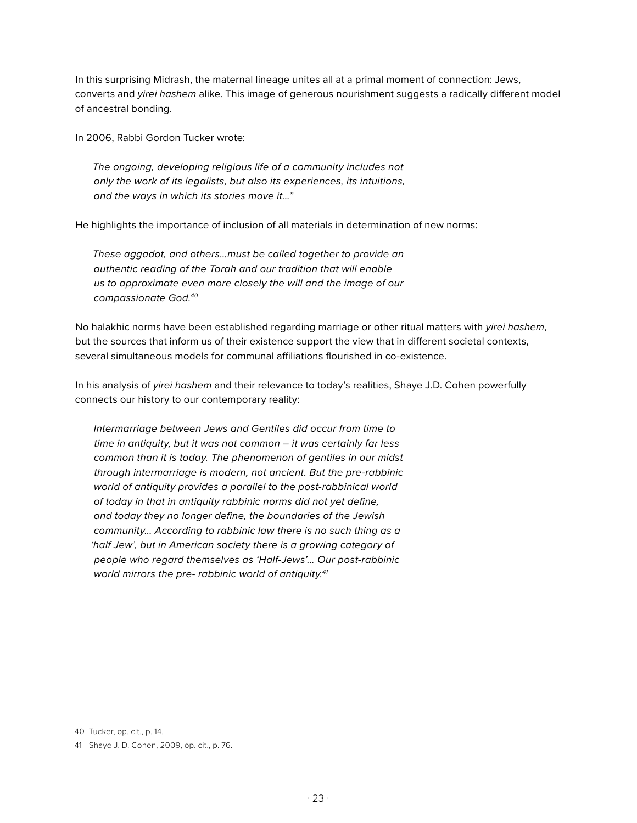In this surprising Midrash, the maternal lineage unites all at a primal moment of connection: Jews, converts and *yirei hashem* alike. This image of generous nourishment suggests a radically different model of ancestral bonding.

In 2006, Rabbi Gordon Tucker wrote:

*The ongoing, developing religious life of a community includes not only the work of its legalists, but also its experiences, its intuitions, and the ways in which its stories move it..."* 

He highlights the importance of inclusion of all materials in determination of new norms:

*These aggadot, and others...must be called together to provide an authentic reading of the Torah and our tradition that will enable us to approximate even more closely the will and the image of our compassionate God.40*

No halakhic norms have been established regarding marriage or other ritual matters with *yirei hashem*, but the sources that inform us of their existence support the view that in different societal contexts, several simultaneous models for communal affiliations flourished in co-existence.

In his analysis of *yirei hashem* and their relevance to today's realities, Shaye J.D. Cohen powerfully connects our history to our contemporary reality:

*Intermarriage between Jews and Gentiles did occur from time to time in antiquity, but it was not common – it was certainly far less common than it is today. The phenomenon of gentiles in our midst through intermarriage is modern, not ancient. But the pre-rabbinic world of antiquity provides a parallel to the post-rabbinical world of today in that in antiquity rabbinic norms did not yet define, and today they no longer define, the boundaries of the Jewish community... According to rabbinic law there is no such thing as a 'half Jew', but in American society there is a growing category of people who regard themselves as 'Half-Jews'... Our post-rabbinic world mirrors the pre- rabbinic world of antiquity.41*

<sup>40</sup> Tucker, op. cit., p. 14.

<sup>41</sup> Shaye J. D. Cohen, 2009, op. cit., p. 76.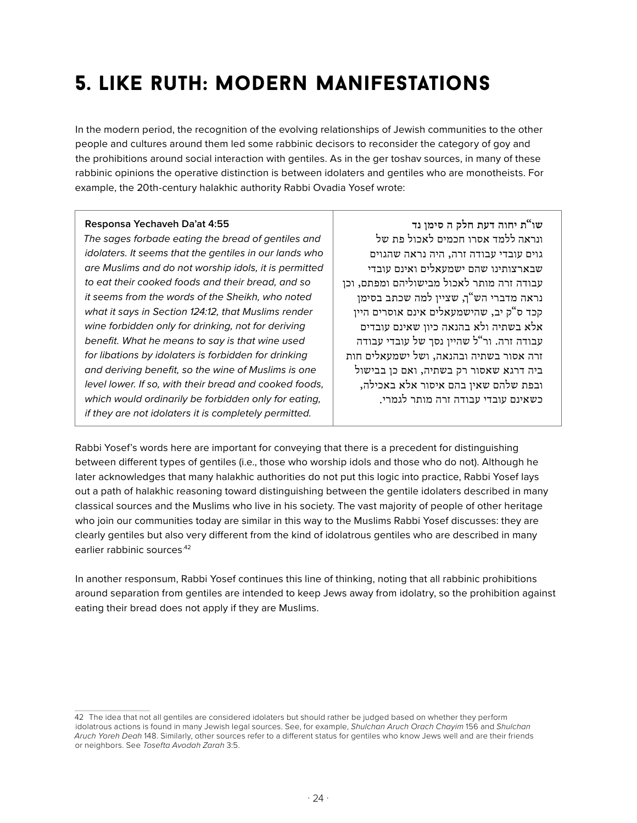### 5. like ruth: modern manifestations

In the modern period, the recognition of the evolving relationships of Jewish communities to the other people and cultures around them led some rabbinic decisors to reconsider the category of goy and the prohibitions around social interaction with gentiles. As in the ger toshav sources, in many of these rabbinic opinions the operative distinction is between idolaters and gentiles who are monotheists. For example, the 20th-century halakhic authority Rabbi Ovadia Yosef wrote:

#### **Responsa Yechaveh Da'at 4:55**

*The sages forbade eating the bread of gentiles and idolaters. It seems that the gentiles in our lands who are Muslims and do not worship idols, it is permitted to eat their cooked foods and their bread, and so it seems from the words of the Sheikh, who noted what it says in Section 124:12, that Muslims render wine forbidden only for drinking, not for deriving benefit. What he means to say is that wine used for libations by idolaters is forbidden for drinking and deriving benefit, so the wine of Muslims is one level lower. If so, with their bread and cooked foods, which would ordinarily be forbidden only for eating, if they are not idolaters it is completely permitted.* 

**שו"ת יחוה דעת חלק ה סימן נד** ונראה ללמד אסרו חכמים לאכול פת של גוים עובדי עבודה זרה, היה נראה שהגוים שבארצותינו שהם ישמעאלים ואינם עובדי עבודה זרה מותר לאכול מבישוליהם ומפתם, וכן נראה מדברי הש"ך, שציין למה שכתב בסימן קכד ס"ק יב, שהישמעאלים אינם אוסרים היין אלא בשתיה ולא בהנאה כיון שאינם עובדים עבודה זרה. ור"ל שהיין נסך של עובדי עבודה זרה אסור בשתיה ובהנאה, ושל ישמעאלים חות ביה דרגא שאסור רק בשתיה, ואם כן בבישול ובפת שלהם שאין בהם איסור אלא באכילה, כשאינם עובדי עבודה זרה מותר לגמרי .

Rabbi Yosef's words here are important for conveying that there is a precedent for distinguishing between different types of gentiles (i.e., those who worship idols and those who do not). Although he later acknowledges that many halakhic authorities do not put this logic into practice, Rabbi Yosef lays out a path of halakhic reasoning toward distinguishing between the gentile idolaters described in many classical sources and the Muslims who live in his society. The vast majority of people of other heritage who join our communities today are similar in this way to the Muslims Rabbi Yosef discusses: they are clearly gentiles but also very different from the kind of idolatrous gentiles who are described in many earlier rabbinic sources.42

In another responsum, Rabbi Yosef continues this line of thinking, noting that all rabbinic prohibitions around separation from gentiles are intended to keep Jews away from idolatry, so the prohibition against eating their bread does not apply if they are Muslims.

<sup>42</sup> The idea that not all gentiles are considered idolaters but should rather be judged based on whether they perform idolatrous actions is found in many Jewish legal sources. See, for example, *Shulchan Aruch Orach Chayim* 156 and *Shulchan Aruch Yoreh Deah* 148. Similarly, other sources refer to a different status for gentiles who know Jews well and are their friends or neighbors. See *Tosefta Avodah Zarah* 3:5.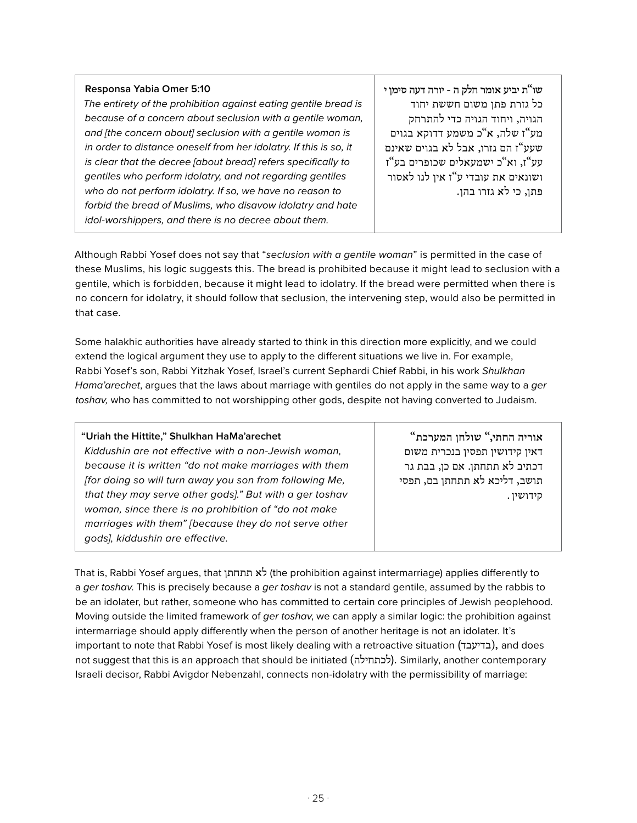#### **Responsa Yabia Omer 5:10**

*The entirety of the prohibition against eating gentile bread is because of a concern about seclusion with a gentile woman, and [the concern about] seclusion with a gentile woman is in order to distance oneself from her idolatry. If this is so, it is clear that the decree [about bread] refers specifically to gentiles who perform idolatry, and not regarding gentiles who do not perform idolatry. If so, we have no reason to forbid the bread of Muslims, who disavow idolatry and hate idol-worshippers, and there is no decree about them.* 

**שו"ת יביע אומר חלק ה - יורה דעה סימן י** כל גזרת פתן משום חששת יחוד הגויה, ויחוד הגויה כדי להתרחק מע"ז שלה, א"כ משמע דדוקא בגוים שעע"ז הם גזרו, אבל לא בגוים שאינם עע"ז, וא"כ ישמעאלים שכופרים בע"ז ושונאים את עובדי ע"ז אין לנו לאסור פתן, כי לא גזרו בהן .

Although Rabbi Yosef does not say that "*seclusion with a gentile woman*" is permitted in the case of these Muslims, his logic suggests this. The bread is prohibited because it might lead to seclusion with a gentile, which is forbidden, because it might lead to idolatry. If the bread were permitted when there is no concern for idolatry, it should follow that seclusion, the intervening step, would also be permitted in that case.

Some halakhic authorities have already started to think in this direction more explicitly, and we could extend the logical argument they use to apply to the different situations we live in. For example, Rabbi Yosef's son, Rabbi Yitzhak Yosef, Israel's current Sephardi Chief Rabbi, in his work *Shulkhan Hama'arechet*, argues that the laws about marriage with gentiles do not apply in the same way to a *ger toshav,* who has committed to not worshipping other gods, despite not having converted to Judaism.

| "Uriah the Hittite," Shulkhan HaMa'arechet              | "אוריה החתי," שולחן המערכת     |
|---------------------------------------------------------|--------------------------------|
| Kiddushin are not effective with a non-Jewish woman,    | דאין קידושין תפסין בנכרית משום |
| because it is written "do not make marriages with them  | דכתיב לא תתחתן. אם כן, בבת גר  |
| [for doing so will turn away you son from following Me, | תושב, דליכא לא תתחתן בם, תפסי  |
| that they may serve other gods]." But with a ger toshav | קידושין.                       |
| woman, since there is no prohibition of "do not make    |                                |
| marriages with them" [because they do not serve other   |                                |
| gods], kiddushin are effective.                         |                                |

That is, Rabbi Yosef argues, that תתחתן לא) the prohibition against intermarriage) applies differently to a *ger toshav*. This is precisely because a *ger toshav* is not a standard gentile, assumed by the rabbis to be an idolater, but rather, someone who has committed to certain core principles of Jewish peoplehood. Moving outside the limited framework of *ger toshav*, we can apply a similar logic: the prohibition against intermarriage should apply differently when the person of another heritage is not an idolater. It's important to note that Rabbi Yosef is most likely dealing with a retroactive situation (בדיעבד(, and does not suggest that this is an approach that should be initiated (לכתחילה). Similarly, another contemporary Israeli decisor, Rabbi Avigdor Nebenzahl, connects non-idolatry with the permissibility of marriage: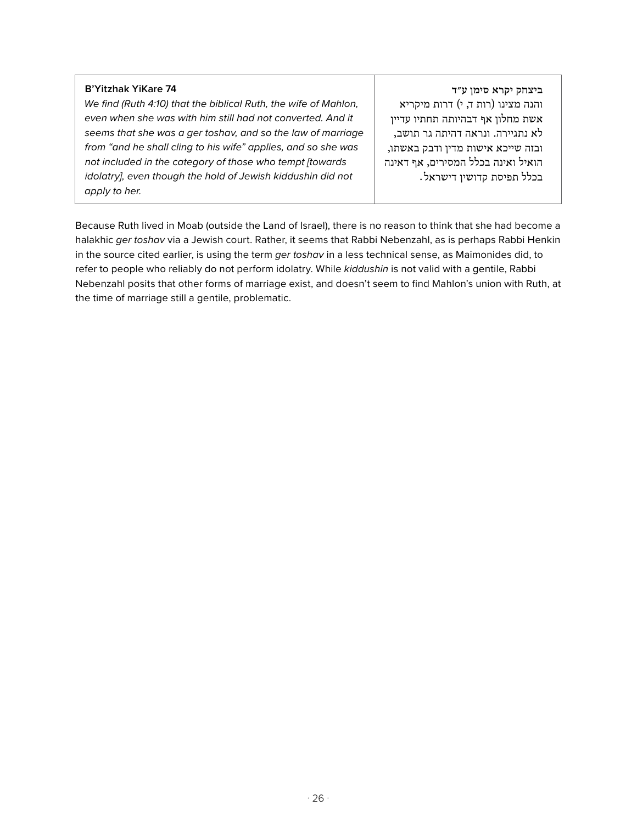#### **B'Yitzhak YiKare 74**

*We find (Ruth 4:10) that the biblical Ruth, the wife of Mahlon, even when she was with him still had not converted. And it seems that she was a ger toshav, and so the law of marriage from "and he shall cling to his wife" applies, and so she was not included in the category of those who tempt [towards idolatry], even though the hold of Jewish kiddushin did not apply to her.*

**ביצחק יקרא סימן ע״ד** והנה מצינו (רות ד, י) דרות מיקריא אשת מחלון אף דבהיותה תחתיו עדיין לא נתגיירה. ונראה דהיתה גר תושב, ובזה שייכא אישות מדין ודבק באשתו, הואיל ואינה בכלל המסירים, אף דאינה בכלל תפיסת קדושין דישראל .

Because Ruth lived in Moab (outside the Land of Israel), there is no reason to think that she had become a halakhic *ger toshav* via a Jewish court. Rather, it seems that Rabbi Nebenzahl, as is perhaps Rabbi Henkin in the source cited earlier, is using the term *ger toshav* in a less technical sense, as Maimonides did, to refer to people who reliably do not perform idolatry. While *kiddushin* is not valid with a gentile, Rabbi Nebenzahl posits that other forms of marriage exist, and doesn't seem to find Mahlon's union with Ruth, at the time of marriage still a gentile, problematic.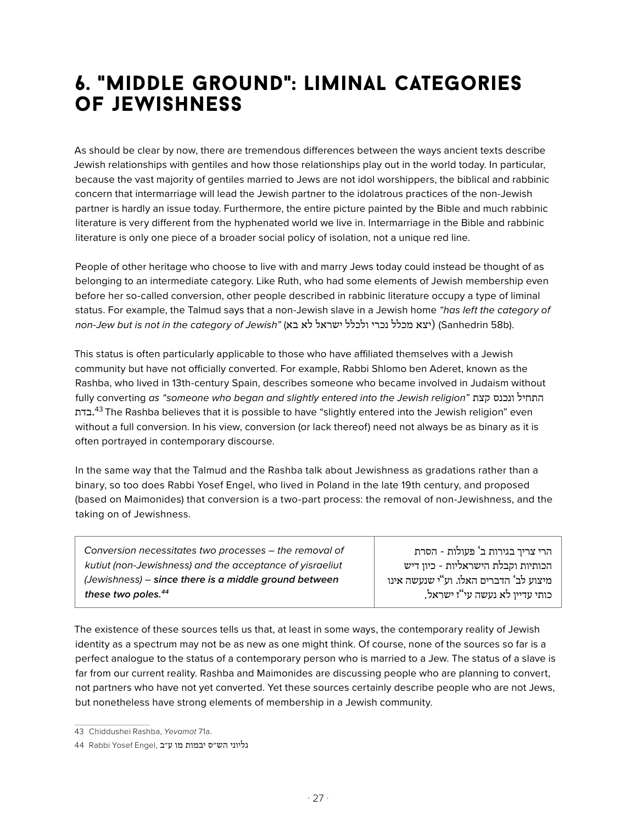### 6. "middle ground": liminal categories of jewishness

As should be clear by now, there are tremendous differences between the ways ancient texts describe Jewish relationships with gentiles and how those relationships play out in the world today. In particular, because the vast majority of gentiles married to Jews are not idol worshippers, the biblical and rabbinic concern that intermarriage will lead the Jewish partner to the idolatrous practices of the non-Jewish partner is hardly an issue today. Furthermore, the entire picture painted by the Bible and much rabbinic literature is very different from the hyphenated world we live in. Intermarriage in the Bible and rabbinic literature is only one piece of a broader social policy of isolation, not a unique red line.

People of other heritage who choose to live with and marry Jews today could instead be thought of as belonging to an intermediate category. Like Ruth, who had some elements of Jewish membership even before her so-called conversion, other people described in rabbinic literature occupy a type of liminal status. For example, the Talmud says that a non-Jewish slave in a Jewish home *"has left the category of non-Jew but is not in the category of Jewish"* (בא לא ישראל ולכלל נכרי מכלל יצא) (Sanhedrin 58b).

This status is often particularly applicable to those who have affiliated themselves with a Jewish community but have not officially converted. For example, Rabbi Shlomo ben Aderet, known as the Rashba, who lived in 13th-century Spain, describes someone who became involved in Judaism without fully converting *as "someone who began and slightly entered into the Jewish religion"* קצת ונכנס התחיל בדת.<sup>43</sup> The Rashba believes that it is possible to have "slightly entered into the Jewish religion" even without a full conversion. In his view, conversion (or lack thereof) need not always be as binary as it is often portrayed in contemporary discourse.

In the same way that the Talmud and the Rashba talk about Jewishness as gradations rather than a binary, so too does Rabbi Yosef Engel, who lived in Poland in the late 19th century, and proposed (based on Maimonides) that conversion is a two-part process: the removal of non-Jewishness, and the taking on of Jewishness.

*Conversion necessitates two processes – the removal of kutiut (non-Jewishness) and the acceptance of yisraeliut (Jewishness) – since there is a middle ground between these two poles.44*

הרי צריך בגירות ב' פעולות - הסרת הכותיות וקבלת הישראליות - כיון דיש מיצוע לב' הדברים האלו. וע"י שנעשה אינו כותי עדיין לא נעשה עי"ז ישראל .

The existence of these sources tells us that, at least in some ways, the contemporary reality of Jewish identity as a spectrum may not be as new as one might think. Of course, none of the sources so far is a perfect analogue to the status of a contemporary person who is married to a Jew. The status of a slave is far from our current reality. Rashba and Maimonides are discussing people who are planning to convert, not partners who have not yet converted. Yet these sources certainly describe people who are not Jews, but nonetheless have strong elements of membership in a Jewish community.

<sup>43</sup> Chiddushei Rashba, *Yevamot* 71a.

גליוני הש״ס יבמות מו ע״ב ,Engel Yosef Rabbi 44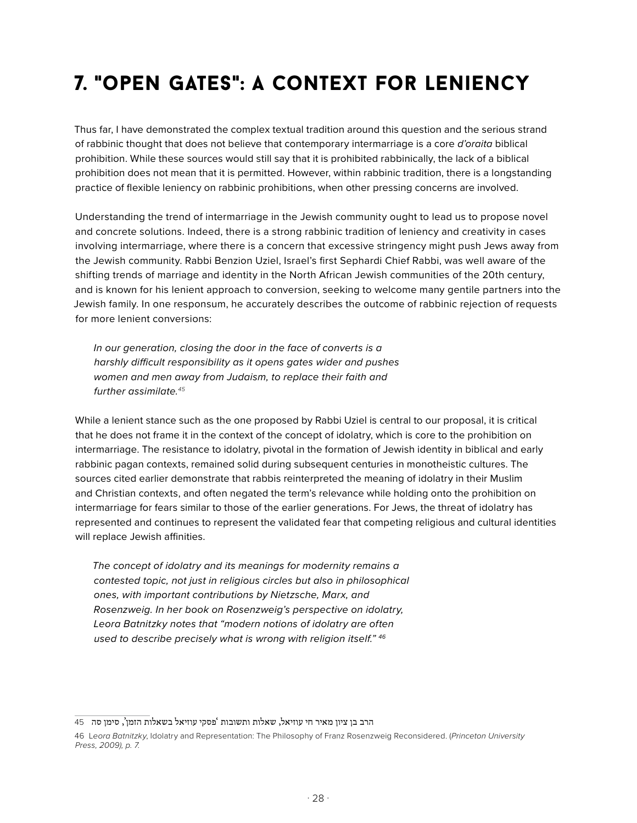### 7. "open gates": a context for leniency

Thus far, I have demonstrated the complex textual tradition around this question and the serious strand of rabbinic thought that does not believe that contemporary intermarriage is a core *d'oraita* biblical prohibition. While these sources would still say that it is prohibited rabbinically, the lack of a biblical prohibition does not mean that it is permitted. However, within rabbinic tradition, there is a longstanding practice of flexible leniency on rabbinic prohibitions, when other pressing concerns are involved.

Understanding the trend of intermarriage in the Jewish community ought to lead us to propose novel and concrete solutions. Indeed, there is a strong rabbinic tradition of leniency and creativity in cases involving intermarriage, where there is a concern that excessive stringency might push Jews away from the Jewish community. Rabbi Benzion Uziel, Israel's first Sephardi Chief Rabbi, was well aware of the shifting trends of marriage and identity in the North African Jewish communities of the 20th century, and is known for his lenient approach to conversion, seeking to welcome many gentile partners into the Jewish family. In one responsum, he accurately describes the outcome of rabbinic rejection of requests for more lenient conversions:

*In our generation, closing the door in the face of converts is a harshly difficult responsibility as it opens gates wider and pushes women and men away from Judaism, to replace their faith and further assimilate.<sup>45</sup>*

While a lenient stance such as the one proposed by Rabbi Uziel is central to our proposal, it is critical that he does not frame it in the context of the concept of idolatry, which is core to the prohibition on intermarriage. The resistance to idolatry, pivotal in the formation of Jewish identity in biblical and early rabbinic pagan contexts, remained solid during subsequent centuries in monotheistic cultures. The sources cited earlier demonstrate that rabbis reinterpreted the meaning of idolatry in their Muslim and Christian contexts, and often negated the term's relevance while holding onto the prohibition on intermarriage for fears similar to those of the earlier generations. For Jews, the threat of idolatry has represented and continues to represent the validated fear that competing religious and cultural identities will replace Jewish affinities.

*The concept of idolatry and its meanings for modernity remains a contested topic, not just in religious circles but also in philosophical ones, with important contributions by Nietzsche, Marx, and Rosenzweig. In her book on Rosenzweig's perspective on idolatry, Leora Batnitzky notes that "modern notions of idolatry are often used to describe precisely what is wrong with religion itself." <sup>46</sup>*

הרב בן ציון מאיר חי עוזיאל, שאלות ותשובות 'פסקי עוזיאל בשאלות הזמן', סימן סה 45

<sup>46</sup> L*eora Batnitzky*, Idolatry and Representation: The Philosophy of Franz Rosenzweig Reconsidered. (*Princeton University Press, 2009), p. 7.*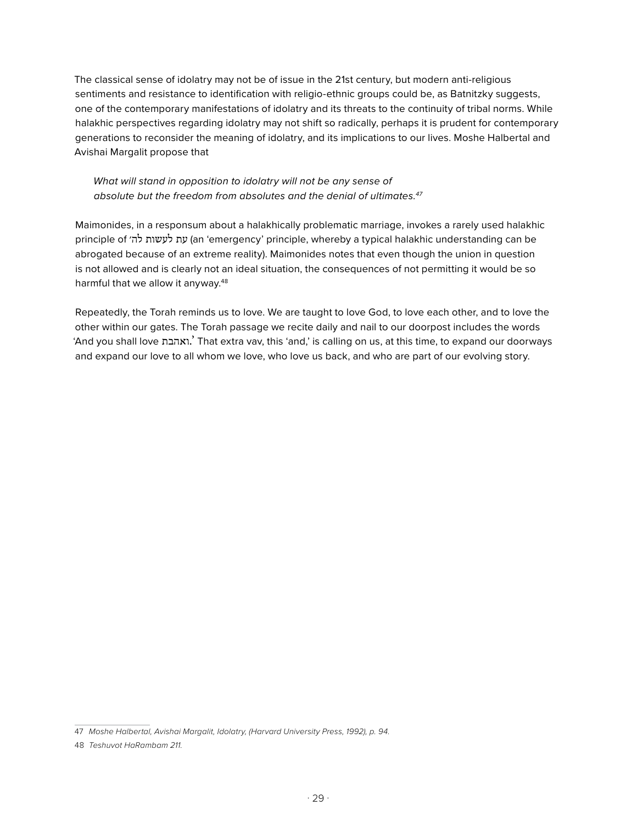The classical sense of idolatry may not be of issue in the 21st century, but modern anti-religious sentiments and resistance to identification with religio-ethnic groups could be, as Batnitzky suggests, one of the contemporary manifestations of idolatry and its threats to the continuity of tribal norms. While halakhic perspectives regarding idolatry may not shift so radically, perhaps it is prudent for contemporary generations to reconsider the meaning of idolatry, and its implications to our lives. Moshe Halbertal and Avishai Margalit propose that

#### *What will stand in opposition to idolatry will not be any sense of absolute but the freedom from absolutes and the denial of ultimates.47*

Maimonides, in a responsum about a halakhically problematic marriage, invokes a rarely used halakhic principle of לה׳ לעשות עת) an 'emergency' principle, whereby a typical halakhic understanding can be abrogated because of an extreme reality). Maimonides notes that even though the union in question is not allowed and is clearly not an ideal situation, the consequences of not permitting it would be so harmful that we allow it anyway.<sup>48</sup>

Repeatedly, the Torah reminds us to love. We are taught to love God, to love each other, and to love the other within our gates. The Torah passage we recite daily and nail to our doorpost includes the words 'And you shall love ואהבת. 'That extra vav, this 'and,' is calling on us, at this time, to expand our doorways and expand our love to all whom we love, who love us back, and who are part of our evolving story.

<sup>47</sup> *Moshe Halbertal, Avishai Margalit, Idolatry, (Harvard University Press, 1992), p. 94.* 

<sup>48</sup> *Teshuvot HaRambam 211.*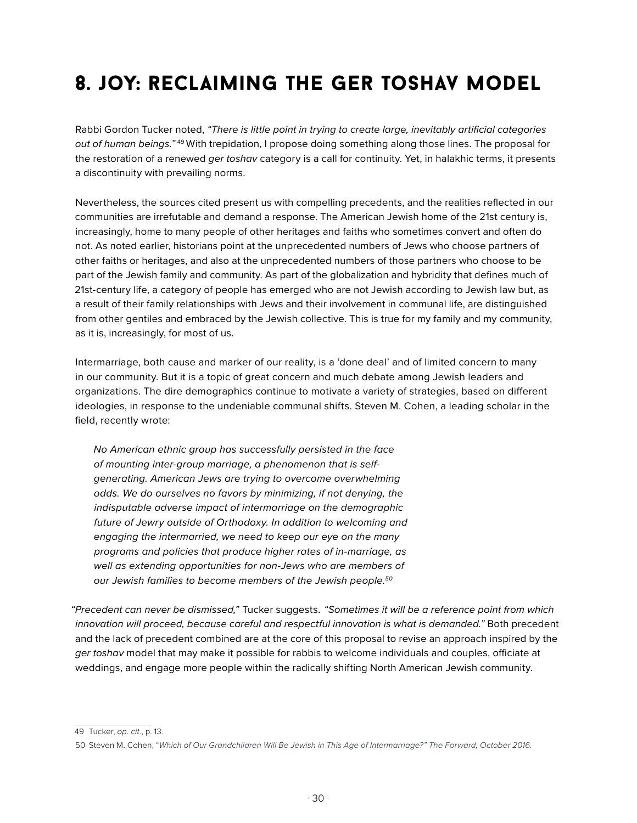### 8. joy: reclaiming the ger toshav model

Rabbi Gordon Tucker noted, *"There is little point in trying to create large, inevitably artificial categories out of human beings."* 49 With trepidation, I propose doing something along those lines. The proposal for the restoration of a renewed *ger toshav* category is a call for continuity. Yet, in halakhic terms, it presents a discontinuity with prevailing norms.

Nevertheless, the sources cited present us with compelling precedents, and the realities reflected in our communities are irrefutable and demand a response. The American Jewish home of the 21st century is, increasingly, home to many people of other heritages and faiths who sometimes convert and often do not. As noted earlier, historians point at the unprecedented numbers of Jews who choose partners of other faiths or heritages, and also at the unprecedented numbers of those partners who choose to be part of the Jewish family and community. As part of the globalization and hybridity that defines much of 21st-century life, a category of people has emerged who are not Jewish according to Jewish law but, as a result of their family relationships with Jews and their involvement in communal life, are distinguished from other gentiles and embraced by the Jewish collective. This is true for my family and my community, as it is, increasingly, for most of us.

Intermarriage, both cause and marker of our reality, is a 'done deal' and of limited concern to many in our community. But it is a topic of great concern and much debate among Jewish leaders and organizations. The dire demographics continue to motivate a variety of strategies, based on different ideologies, in response to the undeniable communal shifts. Steven M. Cohen, a leading scholar in the field, recently wrote:

*No American ethnic group has successfully persisted in the face of mounting inter-group marriage, a phenomenon that is selfgenerating. American Jews are trying to overcome overwhelming odds. We do ourselves no favors by minimizing, if not denying, the indisputable adverse impact of intermarriage on the demographic future of Jewry outside of Orthodoxy. In addition to welcoming and engaging the intermarried, we need to keep our eye on the many programs and policies that produce higher rates of in-marriage, as well as extending opportunities for non-Jews who are members of our Jewish families to become members of the Jewish people.50*

*"Precedent can never be dismissed,"* Tucker suggests. *"Sometimes it will be a reference point from which innovation will proceed, because careful and respectful innovation is what is demanded."* Both precedent and the lack of precedent combined are at the core of this proposal to revise an approach inspired by the *ger toshav* model that may make it possible for rabbis to welcome individuals and couples, officiate at weddings, and engage more people within the radically shifting North American Jewish community.

<sup>49</sup> Tucker, *op. cit*., p. 13.

<sup>50</sup> Steven M. Cohen, "*Which of Our Grandchildren Will Be Jewish in This Age of Intermarriage?" The Forward, October 2016.*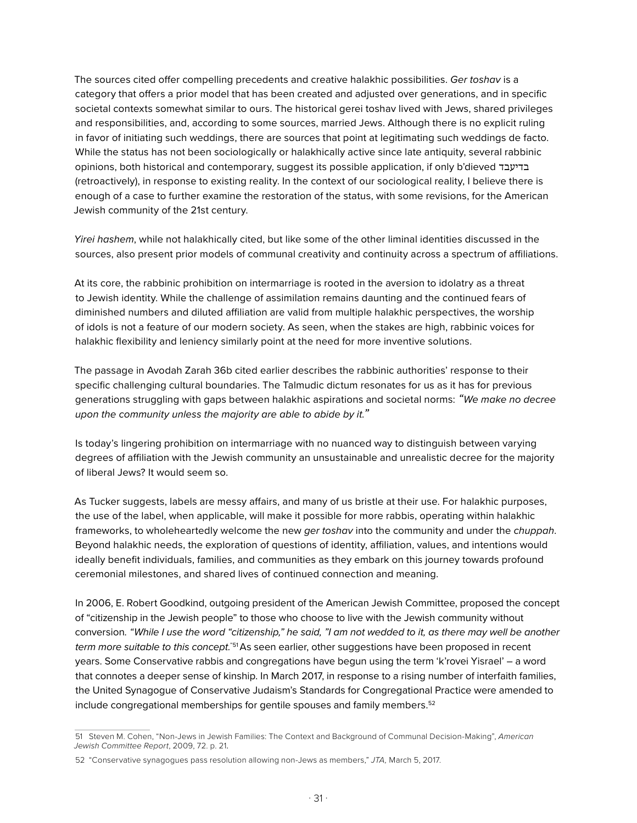The sources cited offer compelling precedents and creative halakhic possibilities. *Ger toshav* is a category that offers a prior model that has been created and adjusted over generations, and in specific societal contexts somewhat similar to ours. The historical gerei toshav lived with Jews, shared privileges and responsibilities, and, according to some sources, married Jews. Although there is no explicit ruling in favor of initiating such weddings, there are sources that point at legitimating such weddings de facto. While the status has not been sociologically or halakhically active since late antiquity, several rabbinic opinions, both historical and contemporary, suggest its possible application, if only b'dieved בדיעבד (retroactively), in response to existing reality. In the context of our sociological reality, I believe there is enough of a case to further examine the restoration of the status, with some revisions, for the American Jewish community of the 21st century.

*Yirei hashem*, while not halakhically cited, but like some of the other liminal identities discussed in the sources, also present prior models of communal creativity and continuity across a spectrum of affiliations.

At its core, the rabbinic prohibition on intermarriage is rooted in the aversion to idolatry as a threat to Jewish identity. While the challenge of assimilation remains daunting and the continued fears of diminished numbers and diluted affiliation are valid from multiple halakhic perspectives, the worship of idols is not a feature of our modern society. As seen, when the stakes are high, rabbinic voices for halakhic flexibility and leniency similarly point at the need for more inventive solutions.

The passage in Avodah Zarah 36b cited earlier describes the rabbinic authorities' response to their specific challenging cultural boundaries. The Talmudic dictum resonates for us as it has for previous generations struggling with gaps between halakhic aspirations and societal norms: *"We make no decree upon the community unless the majority are able to abide by it."* 

Is today's lingering prohibition on intermarriage with no nuanced way to distinguish between varying degrees of affiliation with the Jewish community an unsustainable and unrealistic decree for the majority of liberal Jews? It would seem so.

As Tucker suggests, labels are messy affairs, and many of us bristle at their use. For halakhic purposes, the use of the label, when applicable, will make it possible for more rabbis, operating within halakhic frameworks, to wholeheartedly welcome the new *ger toshav* into the community and under the *chuppah*. Beyond halakhic needs, the exploration of questions of identity, affiliation, values, and intentions would ideally benefit individuals, families, and communities as they embark on this journey towards profound ceremonial milestones, and shared lives of continued connection and meaning.

In 2006, E. Robert Goodkind, outgoing president of the American Jewish Committee, proposed the concept of "citizenship in the Jewish people" to those who choose to live with the Jewish community without conversion*. "While I use the word "citizenship," he said, "I am not wedded to it, as there may well be another term more suitable to this concept.*"51 As seen earlier, other suggestions have been proposed in recent years. Some Conservative rabbis and congregations have begun using the term 'k'rovei Yisrael' – a word that connotes a deeper sense of kinship. In March 2017, in response to a rising number of interfaith families, the United Synagogue of Conservative Judaism's Standards for Congregational Practice were amended to include congregational memberships for gentile spouses and family members.<sup>52</sup>

<sup>51</sup> Steven M. Cohen, "Non-Jews in Jewish Families: The Context and Background of Communal Decision-Making", *American Jewish Committee Report*, 2009, 72. p. 21*.*

<sup>52</sup> "Conservative synagogues pass resolution allowing non-Jews as members," *JTA,* March 5, 2017.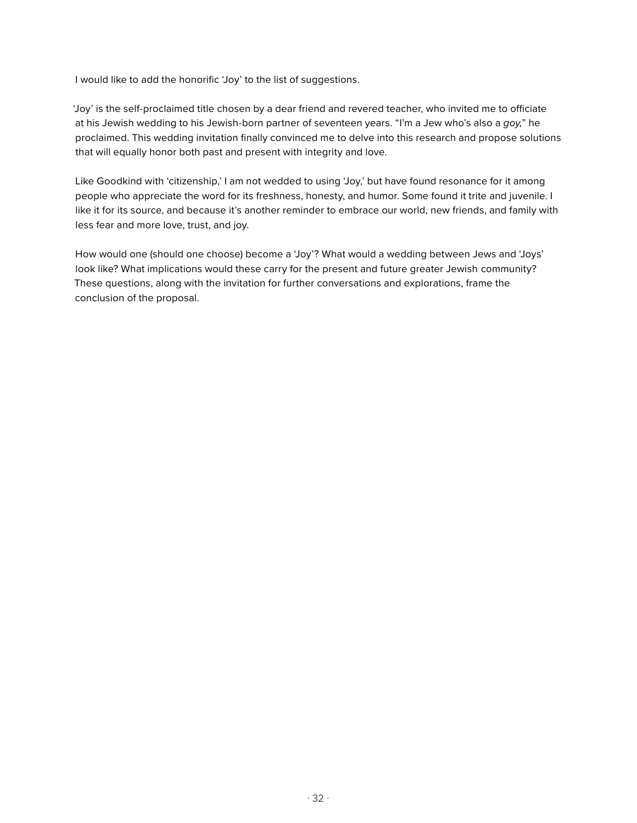I would like to add the honorific 'Joy' to the list of suggestions.

'Joy' is the self-proclaimed title chosen by a dear friend and revered teacher, who invited me to officiate at his Jewish wedding to his Jewish-born partner of seventeen years. "I'm a Jew who's also a *goy,*" he proclaimed. This wedding invitation finally convinced me to delve into this research and propose solutions that will equally honor both past and present with integrity and love.

Like Goodkind with 'citizenship,' I am not wedded to using 'Joy,' but have found resonance for it among people who appreciate the word for its freshness, honesty, and humor. Some found it trite and juvenile. I like it for its source, and because it's another reminder to embrace our world, new friends, and family with less fear and more love, trust, and joy.

How would one (should one choose) become a 'Joy'? What would a wedding between Jews and 'Joys' look like? What implications would these carry for the present and future greater Jewish community? These questions, along with the invitation for further conversations and explorations, frame the conclusion of the proposal.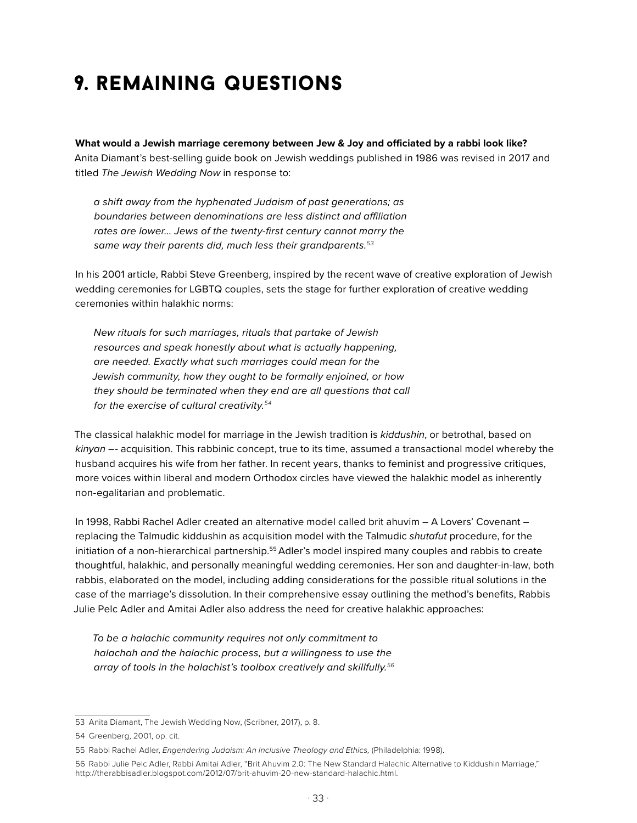### 9. remaining questions

**What would a Jewish marriage ceremony between Jew & Joy and officiated by a rabbi look like?**  Anita Diamant's best-selling guide book on Jewish weddings published in 1986 was revised in 2017 and titled *The Jewish Wedding Now* in response to:

*a shift away from the hyphenated Judaism of past generations; as boundaries between denominations are less distinct and affiliation rates are lower... Jews of the twenty-first century cannot marry the same way their parents did, much less their grandparents.<sup>53</sup>*

In his 2001 article, Rabbi Steve Greenberg, inspired by the recent wave of creative exploration of Jewish wedding ceremonies for LGBTQ couples, sets the stage for further exploration of creative wedding ceremonies within halakhic norms:

*New rituals for such marriages, rituals that partake of Jewish resources and speak honestly about what is actually happening, are needed. Exactly what such marriages could mean for the Jewish community, how they ought to be formally enjoined, or how they should be terminated when they end are all questions that call for the exercise of cultural creativity.<sup>54</sup>*

The classical halakhic model for marriage in the Jewish tradition is *kiddushin*, or betrothal, based on *kinyan* –- acquisition. This rabbinic concept, true to its time, assumed a transactional model whereby the husband acquires his wife from her father. In recent years, thanks to feminist and progressive critiques, more voices within liberal and modern Orthodox circles have viewed the halakhic model as inherently non-egalitarian and problematic.

In 1998, Rabbi Rachel Adler created an alternative model called brit ahuvim – A Lovers' Covenant – replacing the Talmudic kiddushin as acquisition model with the Talmudic *shutafut* procedure, for the initiation of a non-hierarchical partnership.55 Adler's model inspired many couples and rabbis to create thoughtful, halakhic, and personally meaningful wedding ceremonies. Her son and daughter-in-law, both rabbis, elaborated on the model, including adding considerations for the possible ritual solutions in the case of the marriage's dissolution. In their comprehensive essay outlining the method's benefits, Rabbis Julie Pelc Adler and Amitai Adler also address the need for creative halakhic approaches:

*To be a halachic community requires not only commitment to halachah and the halachic process, but a willingness to use the array of tools in the halachist's toolbox creatively and skillfully.<sup>56</sup>*

<sup>53</sup> Anita Diamant, The Jewish Wedding Now, (Scribner, 2017), p. 8.

<sup>54</sup> Greenberg, 2001, op. cit.

<sup>55</sup> Rabbi Rachel Adler, *Engendering Judaism: An Inclusive Theology and Ethics*, (Philadelphia: 1998).

<sup>56</sup> Rabbi Julie Pelc Adler, Rabbi Amitai Adler, "Brit Ahuvim 2.0: The New Standard Halachic Alternative to Kiddushin Marriage," http://therabbisadler.blogspot.com/2012/07/brit-ahuvim-20-new-standard-halachic.html.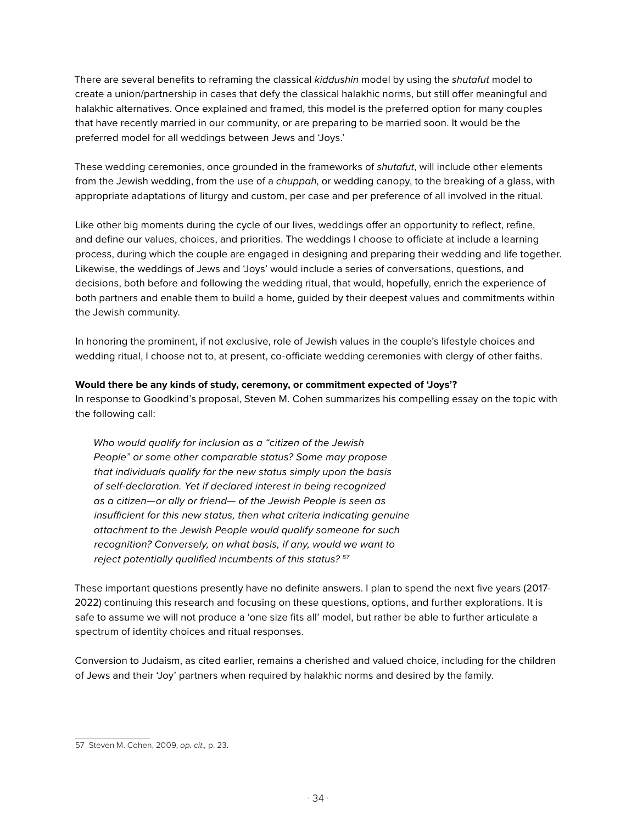There are several benefits to reframing the classical *kiddushin* model by using the *shutafut* model to create a union/partnership in cases that defy the classical halakhic norms, but still offer meaningful and halakhic alternatives. Once explained and framed, this model is the preferred option for many couples that have recently married in our community, or are preparing to be married soon. It would be the preferred model for all weddings between Jews and 'Joys.'

These wedding ceremonies, once grounded in the frameworks of *shutafut*, will include other elements from the Jewish wedding, from the use of a *chuppah*, or wedding canopy, to the breaking of a glass, with appropriate adaptations of liturgy and custom, per case and per preference of all involved in the ritual.

Like other big moments during the cycle of our lives, weddings offer an opportunity to reflect, refine, and define our values, choices, and priorities. The weddings I choose to officiate at include a learning process, during which the couple are engaged in designing and preparing their wedding and life together. Likewise, the weddings of Jews and 'Joys' would include a series of conversations, questions, and decisions, both before and following the wedding ritual, that would, hopefully, enrich the experience of both partners and enable them to build a home, guided by their deepest values and commitments within the Jewish community.

In honoring the prominent, if not exclusive, role of Jewish values in the couple's lifestyle choices and wedding ritual, I choose not to, at present, co-officiate wedding ceremonies with clergy of other faiths.

#### **Would there be any kinds of study, ceremony, or commitment expected of 'Joys'?**

In response to Goodkind's proposal, Steven M. Cohen summarizes his compelling essay on the topic with the following call:

*Who would qualify for inclusion as a "citizen of the Jewish People" or some other comparable status? Some may propose that individuals qualify for the new status simply upon the basis of self-declaration. Yet if declared interest in being recognized as a citizen—or ally or friend— of the Jewish People is seen as insufficient for this new status, then what criteria indicating genuine attachment to the Jewish People would qualify someone for such recognition? Conversely, on what basis, if any, would we want to reject potentially qualified incumbents of this status? <sup>57</sup>*

These important questions presently have no definite answers. I plan to spend the next five years (2017- 2022) continuing this research and focusing on these questions, options, and further explorations. It is safe to assume we will not produce a 'one size fits all' model, but rather be able to further articulate a spectrum of identity choices and ritual responses.

Conversion to Judaism, as cited earlier, remains a cherished and valued choice, including for the children of Jews and their 'Joy' partners when required by halakhic norms and desired by the family.

<sup>57</sup> Steven M. Cohen, 2009, *op. cit.,* p. 23*.*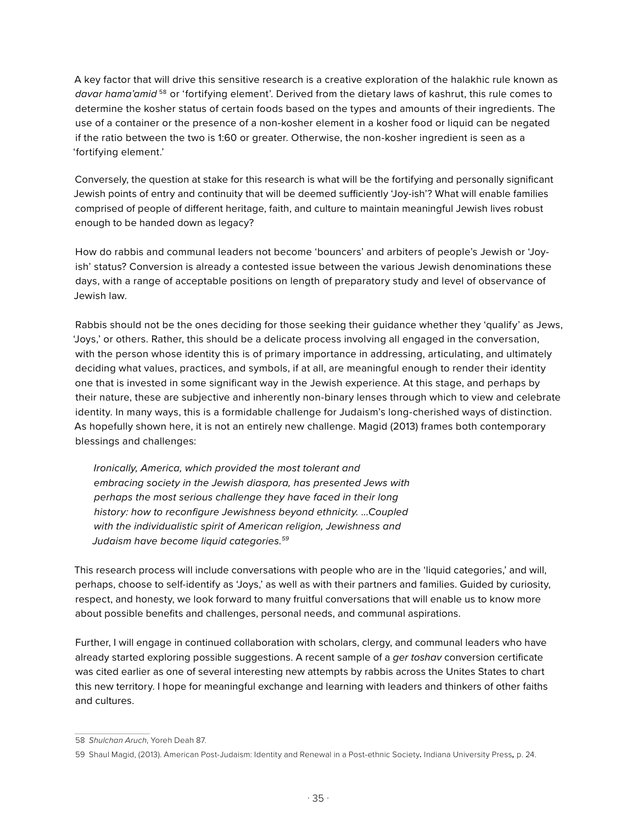A key factor that will drive this sensitive research is a creative exploration of the halakhic rule known as *davar hama'amid* <sup>58</sup> or 'fortifying element'. Derived from the dietary laws of kashrut, this rule comes to determine the kosher status of certain foods based on the types and amounts of their ingredients. The use of a container or the presence of a non-kosher element in a kosher food or liquid can be negated if the ratio between the two is 1:60 or greater. Otherwise, the non-kosher ingredient is seen as a 'fortifying element.'

Conversely, the question at stake for this research is what will be the fortifying and personally significant Jewish points of entry and continuity that will be deemed sufficiently 'Joy-ish'? What will enable families comprised of people of different heritage, faith, and culture to maintain meaningful Jewish lives robust enough to be handed down as legacy?

How do rabbis and communal leaders not become 'bouncers' and arbiters of people's Jewish or 'Joyish' status? Conversion is already a contested issue between the various Jewish denominations these days, with a range of acceptable positions on length of preparatory study and level of observance of Jewish law.

Rabbis should not be the ones deciding for those seeking their guidance whether they 'qualify' as Jews, 'Joys,' or others. Rather, this should be a delicate process involving all engaged in the conversation, with the person whose identity this is of primary importance in addressing, articulating, and ultimately deciding what values, practices, and symbols, if at all, are meaningful enough to render their identity one that is invested in some significant way in the Jewish experience. At this stage, and perhaps by their nature, these are subjective and inherently non-binary lenses through which to view and celebrate identity. In many ways, this is a formidable challenge for Judaism's long-cherished ways of distinction. As hopefully shown here, it is not an entirely new challenge. Magid (2013) frames both contemporary blessings and challenges:

*Ironically, America, which provided the most tolerant and embracing society in the Jewish diaspora, has presented Jews with perhaps the most serious challenge they have faced in their long history: how to reconfigure Jewishness beyond ethnicity. ...Coupled with the individualistic spirit of American religion, Jewishness and Judaism have become liquid categories.59*

This research process will include conversations with people who are in the 'liquid categories,' and will, perhaps, choose to self-identify as 'Joys,' as well as with their partners and families. Guided by curiosity, respect, and honesty, we look forward to many fruitful conversations that will enable us to know more about possible benefits and challenges, personal needs, and communal aspirations.

Further, I will engage in continued collaboration with scholars, clergy, and communal leaders who have already started exploring possible suggestions. A recent sample of a *ger toshav* conversion certificate was cited earlier as one of several interesting new attempts by rabbis across the Unites States to chart this new territory. I hope for meaningful exchange and learning with leaders and thinkers of other faiths and cultures.

<sup>58</sup> *Shulchan Aruch*, Yoreh Deah 87.

<sup>59</sup> Shaul Magid, (2013). American Post-Judaism: Identity and Renewal in a Post-ethnic Society*.* Indiana University Press*,* p. 24.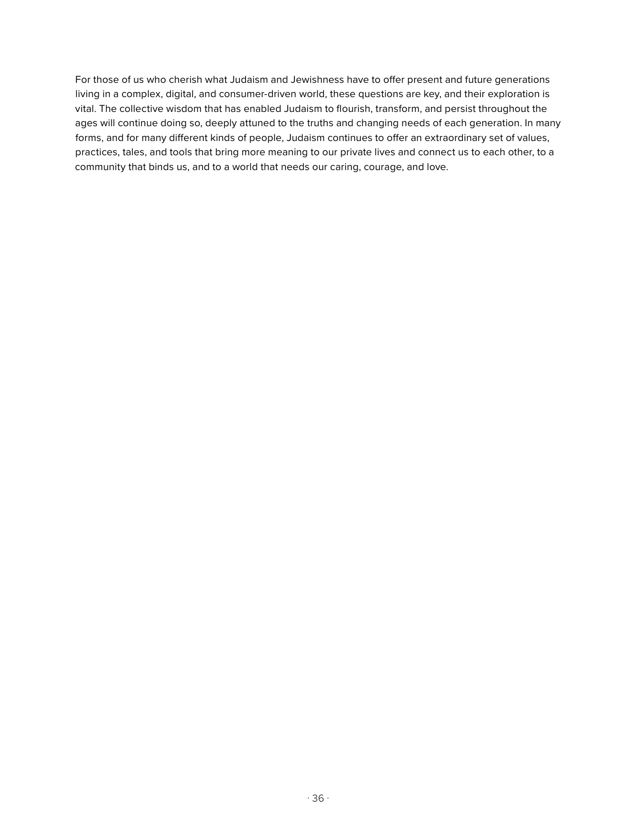For those of us who cherish what Judaism and Jewishness have to offer present and future generations living in a complex, digital, and consumer-driven world, these questions are key, and their exploration is vital. The collective wisdom that has enabled Judaism to flourish, transform, and persist throughout the ages will continue doing so, deeply attuned to the truths and changing needs of each generation. In many forms, and for many different kinds of people, Judaism continues to offer an extraordinary set of values, practices, tales, and tools that bring more meaning to our private lives and connect us to each other, to a community that binds us, and to a world that needs our caring, courage, and love.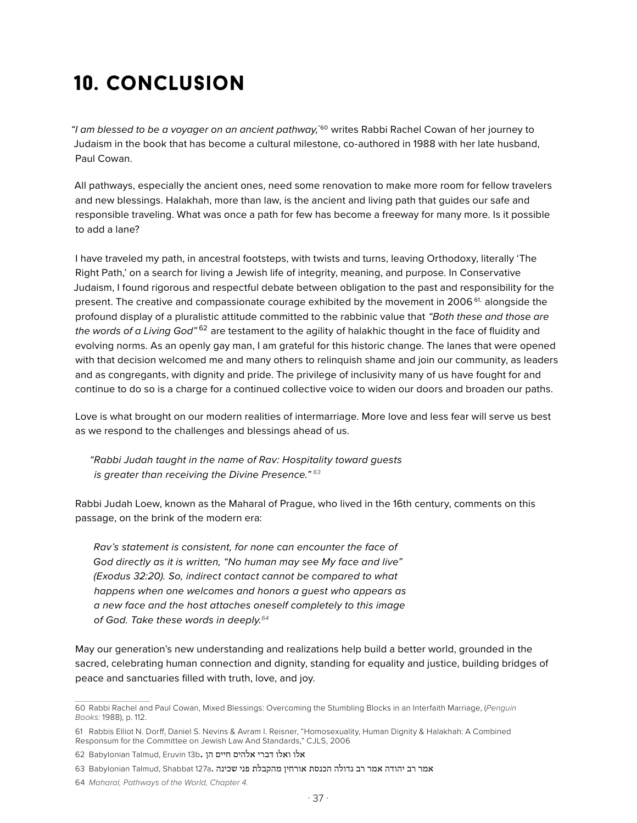### 10. conclusion

*"I am blessed to be a voyager on an ancient pathway,*"60 writes Rabbi Rachel Cowan of her journey to Judaism in the book that has become a cultural milestone, co-authored in 1988 with her late husband, Paul Cowan.

All pathways, especially the ancient ones, need some renovation to make more room for fellow travelers and new blessings. Halakhah, more than law, is the ancient and living path that guides our safe and responsible traveling. What was once a path for few has become a freeway for many more. Is it possible to add a lane?

I have traveled my path, in ancestral footsteps, with twists and turns, leaving Orthodoxy, literally 'The Right Path,' on a search for living a Jewish life of integrity, meaning, and purpose. In Conservative Judaism, I found rigorous and respectful debate between obligation to the past and responsibility for the present. The creative and compassionate courage exhibited by the movement in 2006<sup>61,</sup> alongside the profound display of a pluralistic attitude committed to the rabbinic value that *"Both these and those are the words of a Living God"* <sup>62</sup> are testament to the agility of halakhic thought in the face of fluidity and evolving norms. As an openly gay man, I am grateful for this historic change. The lanes that were opened with that decision welcomed me and many others to relinquish shame and join our community, as leaders and as congregants, with dignity and pride. The privilege of inclusivity many of us have fought for and continue to do so is a charge for a continued collective voice to widen our doors and broaden our paths.

Love is what brought on our modern realities of intermarriage. More love and less fear will serve us best as we respond to the challenges and blessings ahead of us.

*"Rabbi Judah taught in the name of Rav: Hospitality toward guests is greater than receiving the Divine Presence." <sup>63</sup>*

Rabbi Judah Loew, known as the Maharal of Prague, who lived in the 16th century, comments on this passage, on the brink of the modern era:

*Rav's statement is consistent, for none can encounter the face of God directly as it is written, "No human may see My face and live" (Exodus 32:20). So, indirect contact cannot be compared to what happens when one welcomes and honors a guest who appears as a new face and the host attaches oneself completely to this image of God. Take these words in deeply.<sup>64</sup>*

May our generation's new understanding and realizations help build a better world, grounded in the sacred, celebrating human connection and dignity, standing for equality and justice, building bridges of peace and sanctuaries filled with truth, love, and joy.

<sup>60</sup> Rabbi Rachel and Paul Cowan, Mixed Blessings: Overcoming the Stumbling Blocks in an Interfaith Marriage, (*Penguin Books:* 1988), p. 112.

<sup>61</sup> Rabbis Elliot N. Dorff, Daniel S. Nevins & Avram I. Reisner, "Homosexuality, Human Dignity & Halakhah: A Combined Responsum for the Committee on Jewish Law And Standards," CJLS, 2006

אלו ואלו דברי אלהים חיים הן .62 Babylonian Talmud, Eruvin 13b

אמר רב יהודה אמר רב גדולה הכנסת אורחין מהקבלת פני שכינה .a127 Shabbat ,Talmud Babylonian 63

<sup>64</sup> *Maharal, Pathways of the World, Chapter 4.*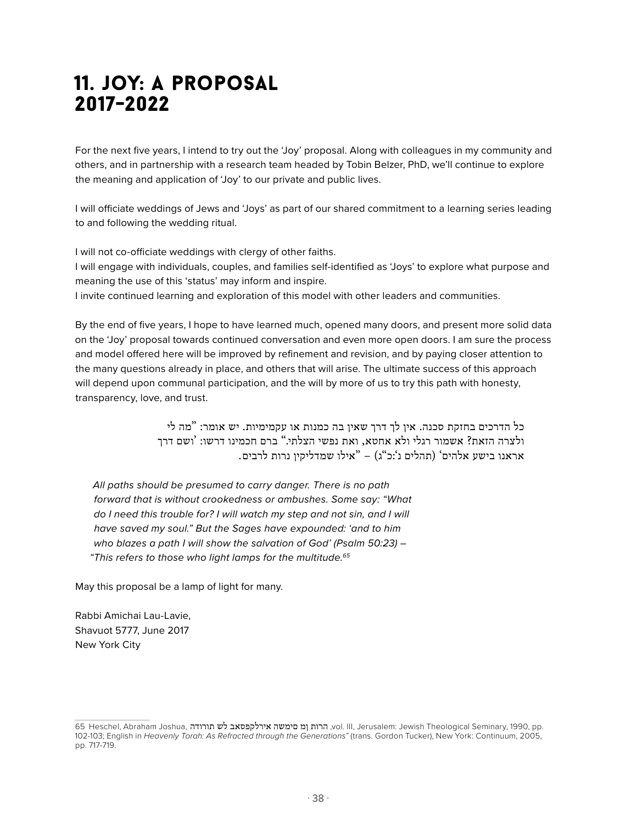### 11. joy: a proposal 2017-2022

For the next five years, I intend to try out the 'Joy' proposal. Along with colleagues in my community and others, and in partnership with a research team headed by Tobin Belzer, PhD, we'll continue to explore the meaning and application of 'Joy' to our private and public lives.

I will officiate weddings of Jews and 'Joys' as part of our shared commitment to a learning series leading to and following the wedding ritual.

I will not co-officiate weddings with clergy of other faiths.

I will engage with individuals, couples, and families self-identified as 'Joys' to explore what purpose and meaning the use of this 'status' may inform and inspire.

I invite continued learning and exploration of this model with other leaders and communities.

By the end of five years, I hope to have learned much, opened many doors, and present more solid data on the 'Joy' proposal towards continued conversation and even more open doors. I am sure the process and model offered here will be improved by refinement and revision, and by paying closer attention to the many questions already in place, and others that will arise. The ultimate success of this approach will depend upon communal participation, and the will by more of us to try this path with honesty, transparency, love, and trust.

> כל הדרכים בחזקת סכנה. אין לך דרך שאין בה כמנות או עקמימיות. יש אומר: "מה לי ולצרה הזאת? אשמור רגלי ולא אחטא, ואת נפשי הצלתי." ברם חכמינו דרשו: 'ושם דרך אראנו בישע אלהים` (תהלים נ`:כ"ג) – "אילו שמדליקין נרות לרבים.

*All paths should be presumed to carry danger. There is no path forward that is without crookedness or ambushes. Some say: "What do I need this trouble for? I will watch my step and not sin, and I will have saved my soul." But the Sages have expounded: 'and to him who blazes a path I will show the salvation of God' (Psalm 50:23) – "This refers to those who light lamps for the multitude.65*

May this proposal be a lamp of light for many.

Rabbi Amichai Lau-Lavie, Shavuot 5777, June 2017 New York City

<sup>65</sup> Heschel, Abraham Joshua, הרות ןמ חימשה אירלקפסאב לש תורודה, vol. III, Jerusalem: Jewish Theological Seminary, 1990, pp. 102-103; English in *Heavenly Torah: As Refracted through the Generations"* (trans. Gordon Tucker), New York: Continuum, 2005, pp. 717-719.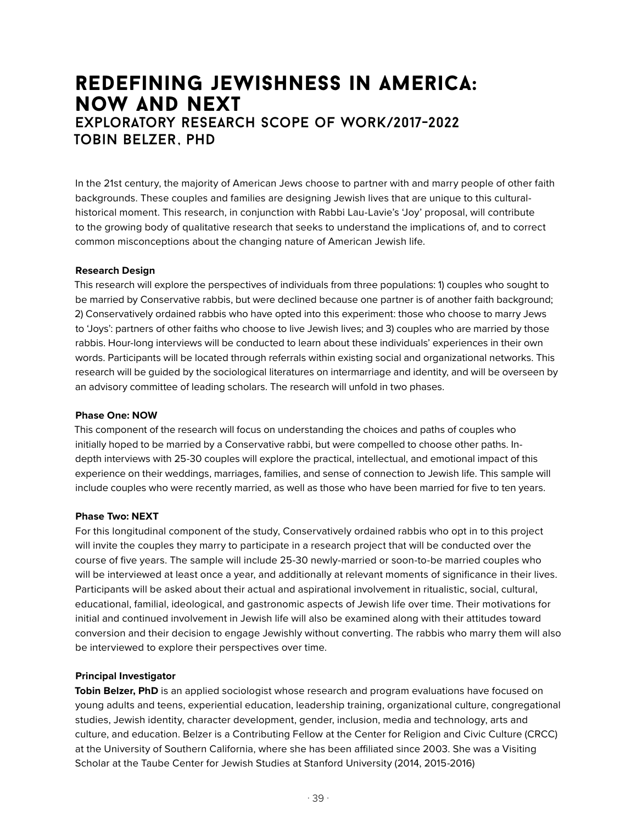### redefining jewishness in america: now and next exploratory research scope of work/2017-2022 tobin belzer , phd

In the 21st century, the majority of American Jews choose to partner with and marry people of other faith backgrounds. These couples and families are designing Jewish lives that are unique to this culturalhistorical moment. This research, in conjunction with Rabbi Lau-Lavie's 'Joy' proposal, will contribute to the growing body of qualitative research that seeks to understand the implications of, and to correct common misconceptions about the changing nature of American Jewish life.

#### **Research Design**

This research will explore the perspectives of individuals from three populations: 1) couples who sought to be married by Conservative rabbis, but were declined because one partner is of another faith background; 2) Conservatively ordained rabbis who have opted into this experiment: those who choose to marry Jews to 'Joys': partners of other faiths who choose to live Jewish lives; and 3) couples who are married by those rabbis. Hour-long interviews will be conducted to learn about these individuals' experiences in their own words. Participants will be located through referrals within existing social and organizational networks. This research will be guided by the sociological literatures on intermarriage and identity, and will be overseen by an advisory committee of leading scholars. The research will unfold in two phases.

#### **Phase One: NOW**

This component of the research will focus on understanding the choices and paths of couples who initially hoped to be married by a Conservative rabbi, but were compelled to choose other paths. Indepth interviews with 25-30 couples will explore the practical, intellectual, and emotional impact of this experience on their weddings, marriages, families, and sense of connection to Jewish life. This sample will include couples who were recently married, as well as those who have been married for five to ten years.

#### **Phase Two: NEXT**

For this longitudinal component of the study, Conservatively ordained rabbis who opt in to this project will invite the couples they marry to participate in a research project that will be conducted over the course of five years. The sample will include 25-30 newly-married or soon-to-be married couples who will be interviewed at least once a year, and additionally at relevant moments of significance in their lives. Participants will be asked about their actual and aspirational involvement in ritualistic, social, cultural, educational, familial, ideological, and gastronomic aspects of Jewish life over time. Their motivations for initial and continued involvement in Jewish life will also be examined along with their attitudes toward conversion and their decision to engage Jewishly without converting. The rabbis who marry them will also be interviewed to explore their perspectives over time.

#### **Principal Investigator**

**Tobin Belzer, PhD** is an applied sociologist whose research and program evaluations have focused on young adults and teens, experiential education, leadership training, organizational culture, congregational studies, Jewish identity, character development, gender, inclusion, media and technology, arts and culture, and education. Belzer is a Contributing Fellow at the Center for Religion and Civic Culture (CRCC) at the University of Southern California, where she has been affiliated since 2003. She was a Visiting Scholar at the Taube Center for Jewish Studies at Stanford University (2014, 2015-2016)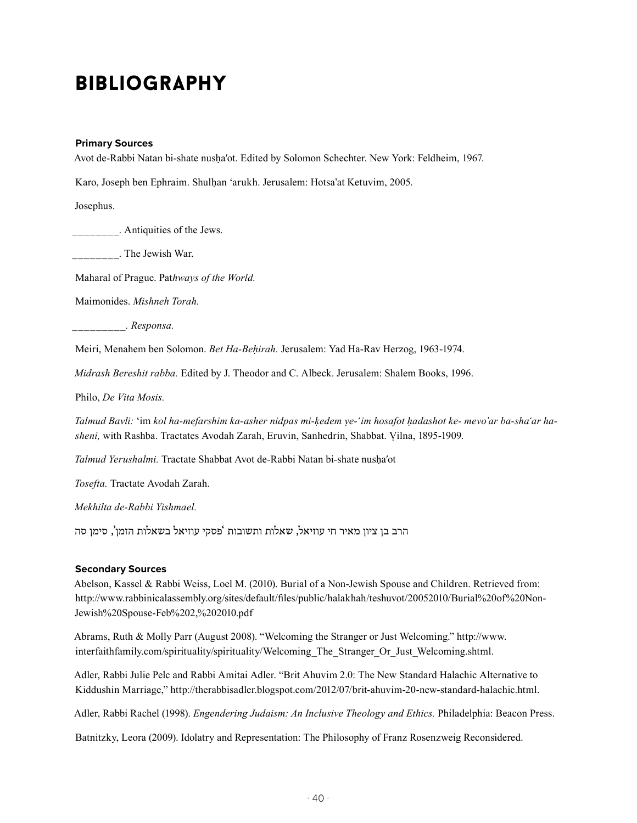### **BIBLIOGRAPHY**

#### **Primary Sources**

Avot de-Rabbi Natan bi-shate nusḥaʹot. Edited by Solomon Schechter. New York: Feldheim, 1967.

Karo, Joseph ben Ephraim. Shulḥan ʻarukh. Jerusalem: Hotsa'at Ketuvim, 2005.

Josephus.

\_\_\_\_\_\_\_\_. Antiquities of the Jews.

\_\_\_\_\_\_\_\_. The Jewish War.

Maharal of Prague. Pat*hways of the World.* 

Maimonides. *Mishneh Torah.* 

*\_\_\_\_\_\_\_\_\_. Responsa.* 

Meiri, Menahem ben Solomon. *Bet Ha-Beḥirah.* Jerusalem: Yad Ha-Rav Herzog, 1963-1974.

*Midrash Bereshit rabba.* Edited by J. Theodor and C. Albeck. Jerusalem: Shalem Books, 1996.

Philo, *De Vita Mosis.*

*Talmud Bavli:* ʻim *kol ha-mefarshim ka-asher nidpas mi-ḳedem ṿe-ʻim hosafot ḥadashot ke- mevo'ar ba-shaʻar hasheni,* with Rashba. Tractates Avodah Zarah, Eruvin, Sanhedrin, Shabbat. Ṿilna, 1895-1909.

*Talmud Yerushalmi.* Tractate Shabbat Avot de-Rabbi Natan bi-shate nusḥaʹot

*Tosefta.* Tractate Avodah Zarah.

*Mekhilta de-Rabbi Yishmael.*

הרב בן ציון מאיר חי עוזיאל, שאלות ותשובות 'פסקי עוזיאל בשאלות הזמן', סימן סה

#### **Secondary Sources**

Abelson, Kassel & Rabbi Weiss, Loel M. (2010). Burial of a Non-Jewish Spouse and Children. Retrieved from: http://www.rabbinicalassembly.org/sites/default/files/public/halakhah/teshuvot/20052010/Burial%20of%20Non-Jewish%20Spouse-Feb%202,%202010.pdf

Abrams, Ruth & Molly Parr (August 2008). "Welcoming the Stranger or Just Welcoming." http://www. interfaithfamily.com/spirituality/spirituality/Welcoming\_The\_Stranger\_Or\_Just\_Welcoming.shtml.

Adler, Rabbi Julie Pelc and Rabbi Amitai Adler. "Brit Ahuvim 2.0: The New Standard Halachic Alternative to Kiddushin Marriage," http://therabbisadler.blogspot.com/2012/07/brit-ahuvim-20-new-standard-halachic.html.

Adler, Rabbi Rachel (1998). *Engendering Judaism: An Inclusive Theology and Ethics.* Philadelphia: Beacon Press.

Batnitzky, Leora (2009). Idolatry and Representation: The Philosophy of Franz Rosenzweig Reconsidered.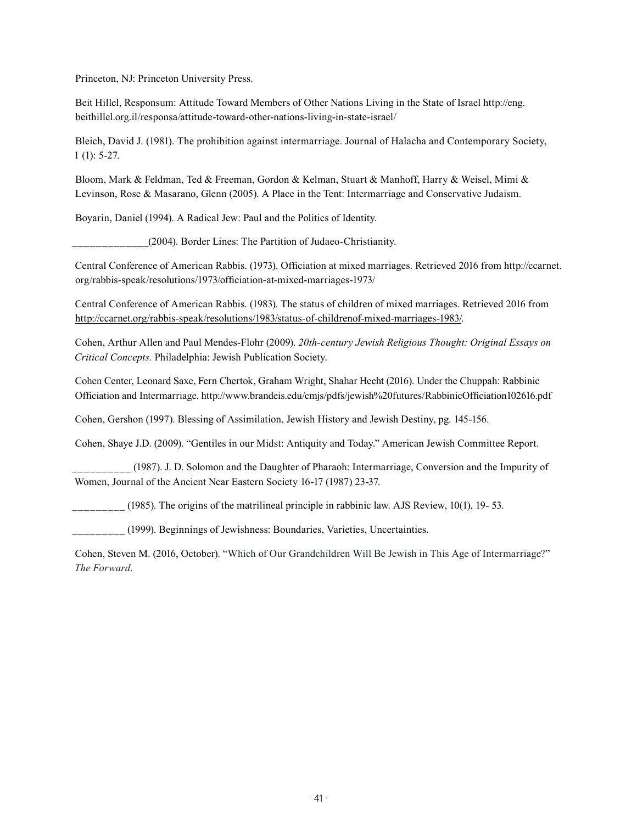Princeton, NJ: Princeton University Press.

Beit Hillel, Responsum: Attitude Toward Members of Other Nations Living in the State of Israel http://eng. beithillel.org.il/responsa/attitude-toward-other-nations-living-in-state-israel/

Bleich, David J. (1981). The prohibition against intermarriage. Journal of Halacha and Contemporary Society, 1 (1): 5-27.

Bloom, Mark & Feldman, Ted & Freeman, Gordon & Kelman, Stuart & Manhoff, Harry & Weisel, Mimi & Levinson, Rose & Masarano, Glenn (2005). A Place in the Tent: Intermarriage and Conservative Judaism.

Boyarin, Daniel (1994). A Radical Jew: Paul and the Politics of Identity.

\_\_\_\_\_\_\_\_\_\_\_\_\_(2004). Border Lines: The Partition of Judaeo-Christianity.

Central Conference of American Rabbis. (1973). Officiation at mixed marriages. Retrieved 2016 from http://ccarnet. org/rabbis-speak/resolutions/1973/officiation-at-mixed-marriages-1973/

Central Conference of American Rabbis. (1983). The status of children of mixed marriages. Retrieved 2016 from http://ccarnet.org/rabbis-speak/resolutions/1983/status-of-childrenof-mixed-marriages-1983/.

Cohen, Arthur Allen and Paul Mendes-Flohr (2009). *20th-century Jewish Religious Thought: Original Essays on Critical Concepts.* Philadelphia: Jewish Publication Society.

Cohen Center, Leonard Saxe, Fern Chertok, Graham Wright, Shahar Hecht (2016). Under the Chuppah: Rabbinic Officiation and Intermarriage. http://www.brandeis.edu/cmjs/pdfs/jewish%20futures/RabbinicOfficiation102616.pdf

Cohen, Gershon (1997). Blessing of Assimilation, Jewish History and Jewish Destiny, pg. 145-156.

Cohen, Shaye J.D. (2009). "Gentiles in our Midst: Antiquity and Today." American Jewish Committee Report.

\_\_\_\_\_\_\_\_\_\_ (1987). J. D. Solomon and the Daughter of Pharaoh: Intermarriage, Conversion and the Impurity of Women, Journal of the Ancient Near Eastern Society 16-17 (1987) 23-37.

 $(1985)$ . The origins of the matrilineal principle in rabbinic law. AJS Review, 10(1), 19- 53.

\_\_\_\_\_\_\_\_\_ (1999). Beginnings of Jewishness: Boundaries, Varieties, Uncertainties.

Cohen, Steven M. (2016, October). "Which of Our Grandchildren Will Be Jewish in This Age of Intermarriage?" *The Forward*.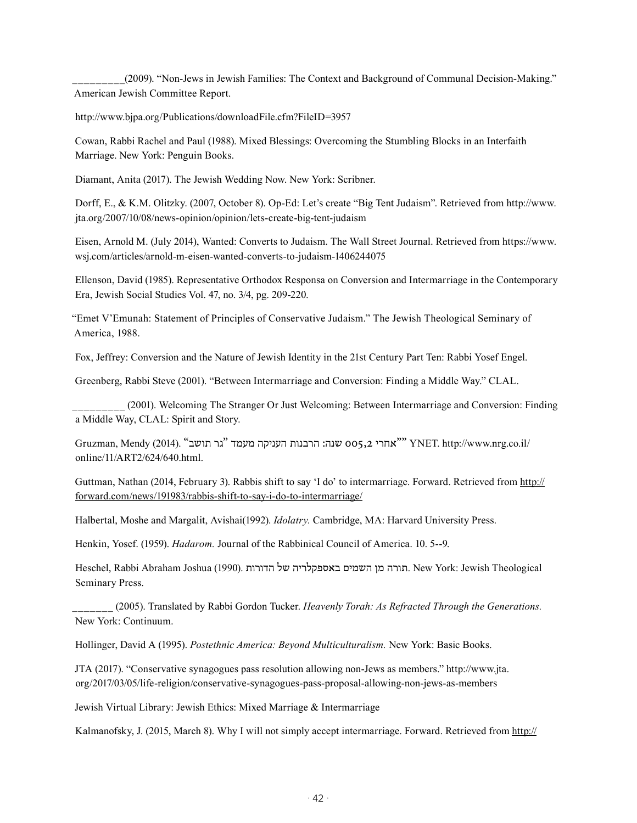\_\_\_\_\_\_\_\_\_(2009). "Non-Jews in Jewish Families: The Context and Background of Communal Decision-Making." American Jewish Committee Report.

http://www.bjpa.org/Publications/downloadFile.cfm?FileID=3957

Cowan, Rabbi Rachel and Paul (1988). Mixed Blessings: Overcoming the Stumbling Blocks in an Interfaith Marriage. New York: Penguin Books.

Diamant, Anita (2017). The Jewish Wedding Now. New York: Scribner.

Dorff, E., & K.M. Olitzky. (2007, October 8). Op-Ed: Let's create "Big Tent Judaism". Retrieved from http://www. jta.org/2007/10/08/news-opinion/opinion/lets-create-big-tent-judaism

Eisen, Arnold M. (July 2014), Wanted: Converts to Judaism. The Wall Street Journal. Retrieved from https://www. wsj.com/articles/arnold-m-eisen-wanted-converts-to-judaism-1406244075

Ellenson, David (1985). Representative Orthodox Responsa on Conversion and Intermarriage in the Contemporary Era, Jewish Social Studies Vol. 47, no. 3/4, pg. 209-220.

"Emet V'Emunah: Statement of Principles of Conservative Judaism." The Jewish Theological Seminary of America, 1988.

Fox, Jeffrey: Conversion and the Nature of Jewish Identity in the 21st Century Part Ten: Rabbi Yosef Engel.

Greenberg, Rabbi Steve (2001). "Between Intermarriage and Conversion: Finding a Middle Way." CLAL.

\_\_\_\_\_\_\_\_\_ (2001). Welcoming The Stranger Or Just Welcoming: Between Intermarriage and Conversion: Finding a Middle Way, CLAL: Spirit and Story.

Gruzman, Mendy (2014). "תושב "גר תושב "גר "מעמד "גר "אחרי"  $\gamma$ NET. http://www.nrg.co.il/ online/11/ART2/624/640.html.

Guttman, Nathan (2014, February 3). Rabbis shift to say 'I do' to intermarriage. Forward. Retrieved from http:// forward.com/news/191983/rabbis-shift-to-say-i-do-to-intermarriage/

Halbertal, Moshe and Margalit, Avishai(1992). *Idolatry.* Cambridge, MA: Harvard University Press.

Henkin, Yosef. (1959). *Hadarom.* Journal of the Rabbinical Council of America. 10. 5--9.

Heschel, Rabbi Abraham Joshua (1990). הדורות של באספקלריה השמים מן תורה. New York: Jewish Theological Seminary Press.

\_\_\_\_\_\_\_ (2005). Translated by Rabbi Gordon Tucker. *Heavenly Torah: As Refracted Through the Generations.*  New York: Continuum.

Hollinger, David A (1995). *Postethnic America: Beyond Multiculturalism.* New York: Basic Books.

JTA (2017). "Conservative synagogues pass resolution allowing non-Jews as members." http://www.jta. org/2017/03/05/life-religion/conservative-synagogues-pass-proposal-allowing-non-jews-as-members

Jewish Virtual Library: Jewish Ethics: Mixed Marriage & Intermarriage

Kalmanofsky, J. (2015, March 8). Why I will not simply accept intermarriage. Forward. Retrieved from http://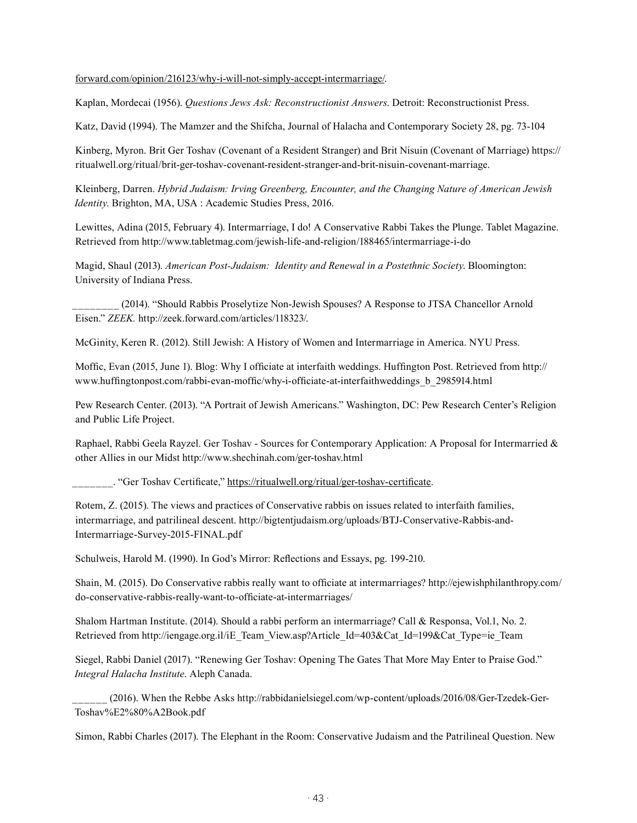#### forward.com/opinion/216123/why-i-will-not-simply-accept-intermarriage/.

Kaplan, Mordecai (1956). *Questions Jews Ask: Reconstructionist Answers*. Detroit: Reconstructionist Press.

Katz, David (1994). The Mamzer and the Shifcha, Journal of Halacha and Contemporary Society 28, pg. 73-104

Kinberg, Myron. Brit Ger Toshav (Covenant of a Resident Stranger) and Brit Nisuin (Covenant of Marriage) https:// ritualwell.org/ritual/brit-ger-toshav-covenant-resident-stranger-and-brit-nisuin-covenant-marriage.

Kleinberg, Darren. *Hybrid Judaism: Irving Greenberg, Encounter, and the Changing Nature of American Jewish Identity*. Brighton, MA, USA : Academic Studies Press, 2016.

Lewittes, Adina (2015, February 4). Intermarriage, I do! A Conservative Rabbi Takes the Plunge. Tablet Magazine. Retrieved from http://www.tabletmag.com/jewish-life-and-religion/188465/intermarriage-i-do

Magid, Shaul (2013). *American Post-Judaism: Identity and Renewal in a Postethnic Society*. Bloomington: University of Indiana Press.

\_\_\_\_\_\_\_\_ (2014). "Should Rabbis Proselytize Non-Jewish Spouses? A Response to JTSA Chancellor Arnold Eisen." *ZEEK.* http://zeek.forward.com/articles/118323/.

McGinity, Keren R. (2012). Still Jewish: A History of Women and Intermarriage in America. NYU Press.

Moffic, Evan (2015, June 1). Blog: Why I officiate at interfaith weddings. Huffington Post. Retrieved from http:// www.huffingtonpost.com/rabbi-evan-moffic/why-i-officiate-at-interfaithweddings\_b\_2985914.html

Pew Research Center. (2013). "A Portrait of Jewish Americans." Washington, DC: Pew Research Center's Religion and Public Life Project.

Raphael, Rabbi Geela Rayzel. Ger Toshav - Sources for Contemporary Application: A Proposal for Intermarried & other Allies in our Midst http://www.shechinah.com/ger-toshav.html

. "Ger Toshav Certificate," https://ritualwell.org/ritual/ger-toshav-certificate.

Rotem, Z. (2015). The views and practices of Conservative rabbis on issues related to interfaith families, intermarriage, and patrilineal descent. http://bigtentjudaism.org/uploads/BTJ-Conservative-Rabbis-and-Intermarriage-Survey-2015-FINAL.pdf

Schulweis, Harold M. (1990). In God's Mirror: Reflections and Essays, pg. 199-210.

Shain, M. (2015). Do Conservative rabbis really want to officiate at intermarriages? http://ejewishphilanthropy.com/ do-conservative-rabbis-really-want-to-officiate-at-intermarriages/

Shalom Hartman Institute. (2014). Should a rabbi perform an intermarriage? Call & Responsa, Vol.1, No. 2. Retrieved from http://iengage.org.il/iE\_Team\_View.asp?Article\_Id=403&Cat\_Id=199&Cat\_Type=ie\_Team

Siegel, Rabbi Daniel (2017). "Renewing Ger Toshav: Opening The Gates That More May Enter to Praise God." *Integral Halacha Institute*. Aleph Canada.

\_\_\_\_\_\_ (2016). When the Rebbe Asks http://rabbidanielsiegel.com/wp-content/uploads/2016/08/Ger-Tzedek-Ger-Toshav%E2%80%A2Book.pdf

Simon, Rabbi Charles (2017). The Elephant in the Room: Conservative Judaism and the Patrilineal Question. New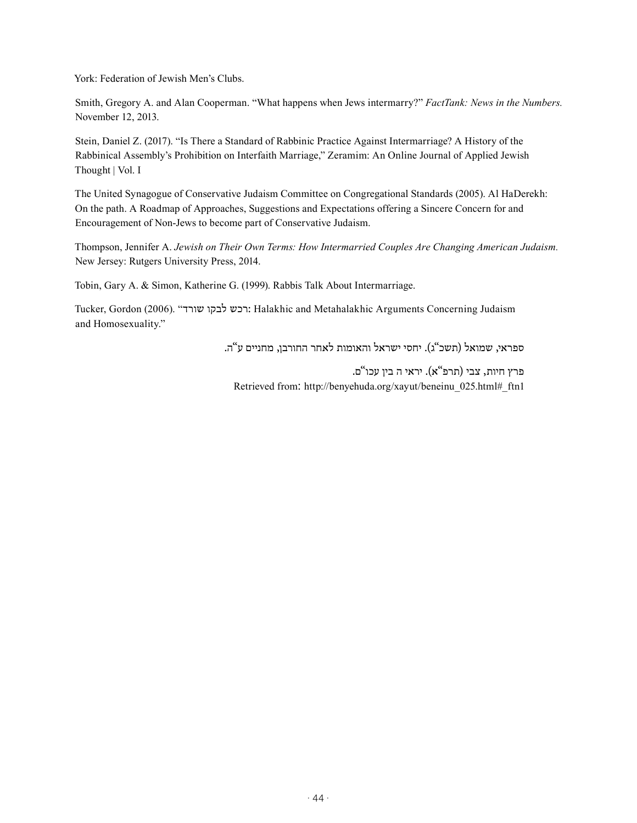York: Federation of Jewish Men's Clubs.

Smith, Gregory A. and Alan Cooperman. "What happens when Jews intermarry?" *FactTank: News in the Numbers.*  November 12, 2013.

Stein, Daniel Z. (2017). "Is There a Standard of Rabbinic Practice Against Intermarriage? A History of the Rabbinical Assembly's Prohibition on Interfaith Marriage," Zeramim: An Online Journal of Applied Jewish Thought | Vol. I

The United Synagogue of Conservative Judaism Committee on Congregational Standards (2005). Al HaDerekh: On the path. A Roadmap of Approaches, Suggestions and Expectations offering a Sincere Concern for and Encouragement of Non-Jews to become part of Conservative Judaism.

Thompson, Jennifer A. *Jewish on Their Own Terms: How Intermarried Couples Are Changing American Judaism.*  New Jersey: Rutgers University Press, 2014.

Tobin, Gary A. & Simon, Katherine G. (1999). Rabbis Talk About Intermarriage.

Tucker, Gordon (2006). "שורד לבקו רכש: Halakhic and Metahalakhic Arguments Concerning Judaism and Homosexuality."

ספראי, שמואל (תשכ"ג). יחסי ישראל והאומות לאחר החורבן, מחניים ע"ה.

פרץ חיות, צבי (תרפ"א). יראי ה בין עכו"ם. Retrieved from: http://benyehuda.org/xayut/beneinu\_025.html#\_ftn1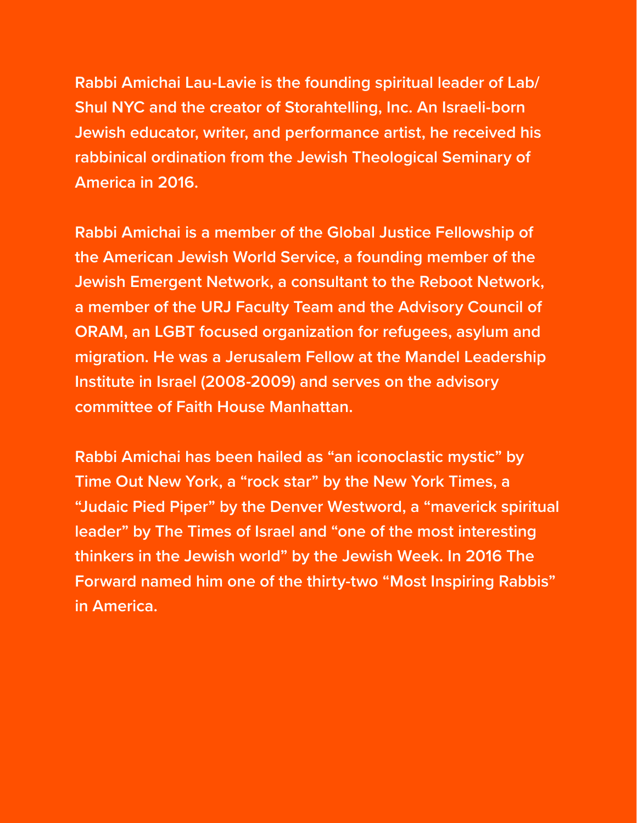**Rabbi Amichai Lau-Lavie is the founding spiritual leader of Lab/ Shul NYC and the creator of Storahtelling, Inc. An Israeli-born Jewish educator, writer, and performance artist, he received his rabbinical ordination from the Jewish Theological Seminary of America in 2016.**

**Rabbi Amichai is a member of the Global Justice Fellowship of the American Jewish World Service, a founding member of the Jewish Emergent Network, a consultant to the Reboot Network, a member of the URJ Faculty Team and the Advisory Council of ORAM, an LGBT focused organization for refugees, asylum and migration. He was a Jerusalem Fellow at the Mandel Leadership Institute in Israel (2008-2009) and serves on the advisory committee of Faith House Manhattan.**

**Rabbi Amichai has been hailed as "an iconoclastic mystic" by Time Out New York, a "rock star" by the New York Times, a "Judaic Pied Piper" by the Denver Westword, a "maverick spiritual leader" by The Times of Israel and "one of the most interesting thinkers in the Jewish world" by the Jewish Week. In 2016 The Forward named him one of the thirty-two "Most Inspiring Rabbis" in America.**